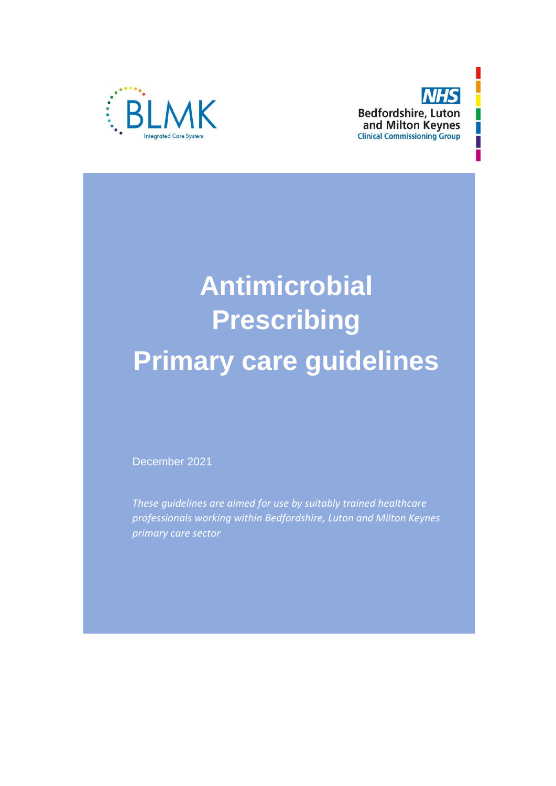



P.

Г

# **Antimicrobial Prescribing Primary care guidelines**

December 2021

*These guidelines are aimed for use by suitably trained healthcare professionals working within Bedfordshire, Luton and Milton Keynes primary care sector*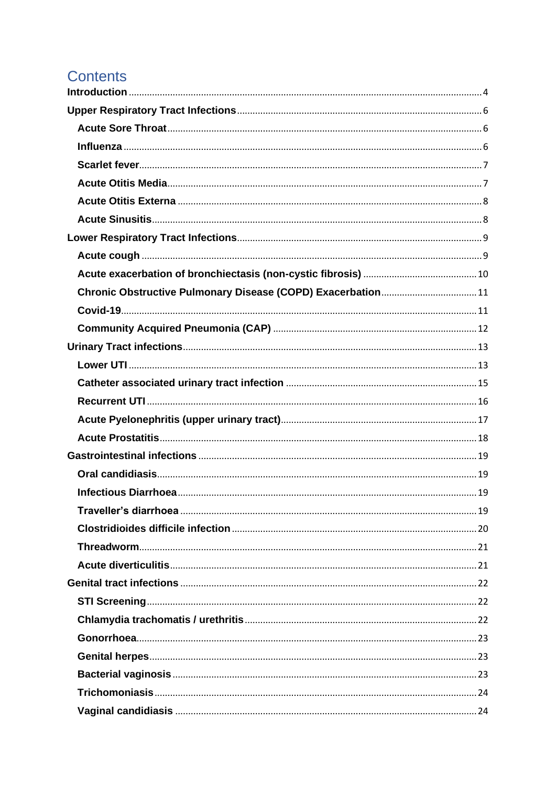# **Contents**

| Chronic Obstructive Pulmonary Disease (COPD) Exacerbation 11 |  |
|--------------------------------------------------------------|--|
|                                                              |  |
|                                                              |  |
|                                                              |  |
|                                                              |  |
|                                                              |  |
|                                                              |  |
|                                                              |  |
|                                                              |  |
|                                                              |  |
|                                                              |  |
|                                                              |  |
|                                                              |  |
|                                                              |  |
|                                                              |  |
|                                                              |  |
|                                                              |  |
|                                                              |  |
|                                                              |  |
|                                                              |  |
|                                                              |  |
|                                                              |  |
|                                                              |  |
|                                                              |  |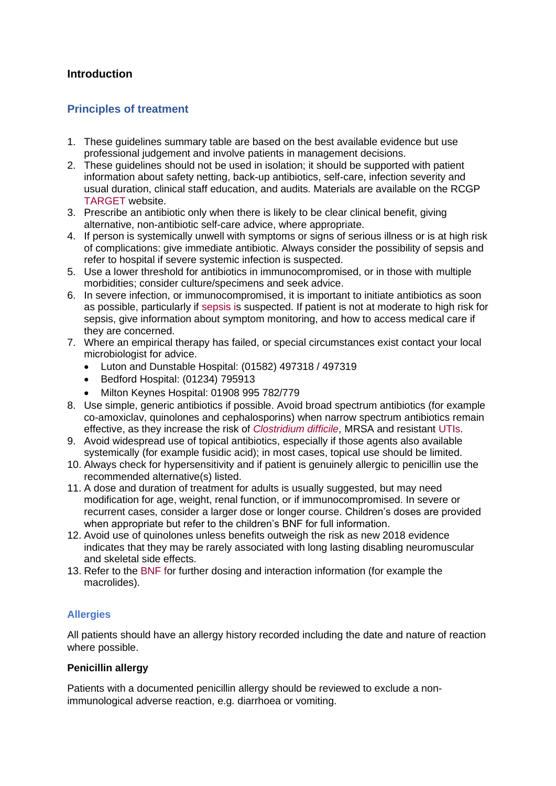# <span id="page-3-0"></span>**Introduction**

# **Principles of treatment**

- 1. These guidelines summary table are based on the best available evidence but use professional judgement and involve patients in management decisions.
- 2. These guidelines should not be used in isolation; it should be supported with patient information about safety netting, back-up antibiotics, self-care, infection severity and usual duration, clinical staff education, and audits. Materials are available on the RCGP TARGET website.
- 3. Prescribe an antibiotic only when there is likely to be clear clinical benefit, giving alternative, non-antibiotic self-care advice, where appropriate.
- 4. If person is systemically unwell with symptoms or signs of serious illness or is at high risk of complications: give immediate antibiotic. Always consider the possibility of sepsis and refer to hospital if severe systemic infection is suspected.
- 5. Use a lower threshold for antibiotics in immunocompromised, or in those with multiple morbidities; consider culture/specimens and seek advice.
- 6. In severe infection, or immunocompromised, it is important to initiate antibiotics as soon as possible, particularly if sepsis is suspected. If patient is not at moderate to high risk for sepsis, give information about symptom monitoring, and how to access medical care if they are concerned.
- 7. Where an empirical therapy has failed, or special circumstances exist contact your local microbiologist for advice.
	- Luton and Dunstable Hospital: (01582) 497318 / 497319
	- Bedford Hospital: (01234) 795913
	- Milton Keynes Hospital: 01908 995 782/779
- 8. Use simple, generic antibiotics if possible. Avoid broad spectrum antibiotics (for example co-amoxiclav, quinolones and cephalosporins) when narrow spectrum antibiotics remain effective, as they increase the risk of *Clostridium difficile*, MRSA and resistant UTIs.
- 9. Avoid widespread use of topical antibiotics, especially if those agents also available systemically (for example fusidic acid); in most cases, topical use should be limited.
- 10. Always check for hypersensitivity and if patient is genuinely allergic to penicillin use the recommended alternative(s) listed.
- 11. A dose and duration of treatment for adults is usually suggested, but may need modification for age, weight, renal function, or if immunocompromised. In severe or recurrent cases, consider a larger dose or longer course. Children's doses are provided when appropriate but refer to the children's BNF for full information.
- 12. Avoid use of quinolones unless benefits outweigh the risk as new 2018 evidence indicates that they may be rarely associated with long lasting disabling neuromuscular and skeletal side effects.
- 13. Refer to the BNF for further dosing and interaction information (for example the macrolides).

## **Allergies**

All patients should have an allergy history recorded including the date and nature of reaction where possible.

## **Penicillin allergy**

Patients with a documented penicillin allergy should be reviewed to exclude a nonimmunological adverse reaction, e.g. diarrhoea or vomiting.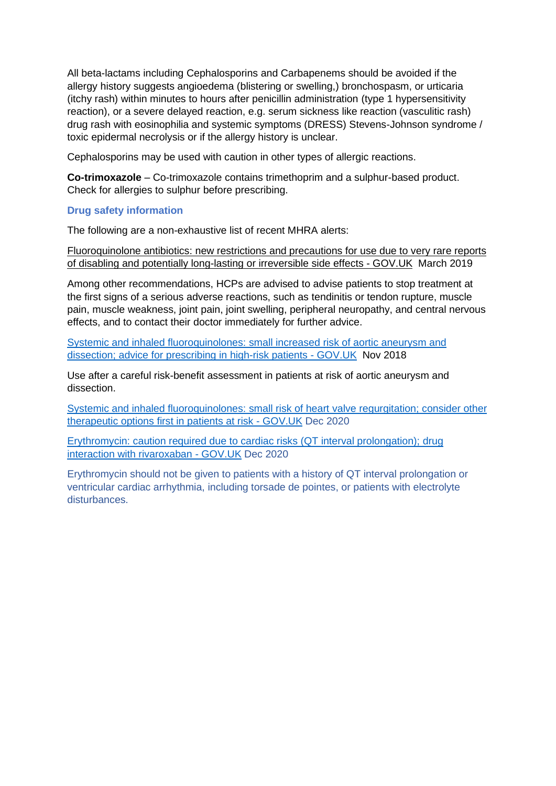All beta-lactams including Cephalosporins and Carbapenems should be avoided if the allergy history suggests angioedema (blistering or swelling,) bronchospasm, or urticaria (itchy rash) within minutes to hours after penicillin administration (type 1 hypersensitivity reaction), or a severe delayed reaction, e.g. serum sickness like reaction (vasculitic rash) drug rash with eosinophilia and systemic symptoms (DRESS) Stevens-Johnson syndrome / toxic epidermal necrolysis or if the allergy history is unclear.

Cephalosporins may be used with caution in other types of allergic reactions.

**Co-trimoxazole** – Co-trimoxazole contains trimethoprim and a sulphur-based product. Check for allergies to sulphur before prescribing.

#### **Drug safety information**

The following are a non-exhaustive list of recent MHRA alerts:

[Fluoroquinolone antibiotics: new restrictions and precautions for use due to very rare reports](https://www.gov.uk/drug-safety-update/fluoroquinolone-antibiotics-new-restrictions-and-precautions-for-use-due-to-very-rare-reports-of-disabling-and-potentially-long-lasting-or-irreversible-side-effects)  [of disabling and potentially long-lasting or irreversible side effects -](https://www.gov.uk/drug-safety-update/fluoroquinolone-antibiotics-new-restrictions-and-precautions-for-use-due-to-very-rare-reports-of-disabling-and-potentially-long-lasting-or-irreversible-side-effects) GOV.UK March 2019

Among other recommendations, HCPs are advised to advise patients to stop treatment at the first signs of a serious adverse reactions, such as tendinitis or tendon rupture, muscle pain, muscle weakness, joint pain, joint swelling, peripheral neuropathy, and central nervous effects, and to contact their doctor immediately for further advice.

[Systemic and inhaled fluoroquinolones: small increased risk of aortic aneurysm and](https://www.gov.uk/drug-safety-update/systemic-and-inhaled-fluoroquinolones-small-increased-risk-of-aortic-aneurysm-and-dissection-advice-for-prescribing-in-high-risk-patients)  [dissection; advice for prescribing in](https://www.gov.uk/drug-safety-update/systemic-and-inhaled-fluoroquinolones-small-increased-risk-of-aortic-aneurysm-and-dissection-advice-for-prescribing-in-high-risk-patients) high-risk patients - GOV.UK Nov 2018

Use after a careful risk-benefit assessment in patients at risk of aortic aneurysm and dissection.

[Systemic and inhaled fluoroquinolones: small risk of heart valve regurgitation; consider other](https://www.gov.uk/drug-safety-update/systemic-and-inhaled-fluoroquinolones-small-risk-of-heart-valve-regurgitation-consider-other-therapeutic-options-first-in-patients-at-risk)  [therapeutic options first in patients at risk -](https://www.gov.uk/drug-safety-update/systemic-and-inhaled-fluoroquinolones-small-risk-of-heart-valve-regurgitation-consider-other-therapeutic-options-first-in-patients-at-risk) GOV.UK Dec 2020

[Erythromycin: caution required due to cardiac risks \(QT interval prolongation\); drug](https://www.gov.uk/drug-safety-update/erythromycin-caution-required-due-to-cardiac-risks-qt-interval-prolongation-drug-interaction-with-rivaroxaban)  [interaction with rivaroxaban -](https://www.gov.uk/drug-safety-update/erythromycin-caution-required-due-to-cardiac-risks-qt-interval-prolongation-drug-interaction-with-rivaroxaban) GOV.UK Dec 2020

Erythromycin should not be given to patients with a history of QT interval prolongation or ventricular cardiac arrhythmia, including torsade de pointes, or patients with electrolyte disturbances.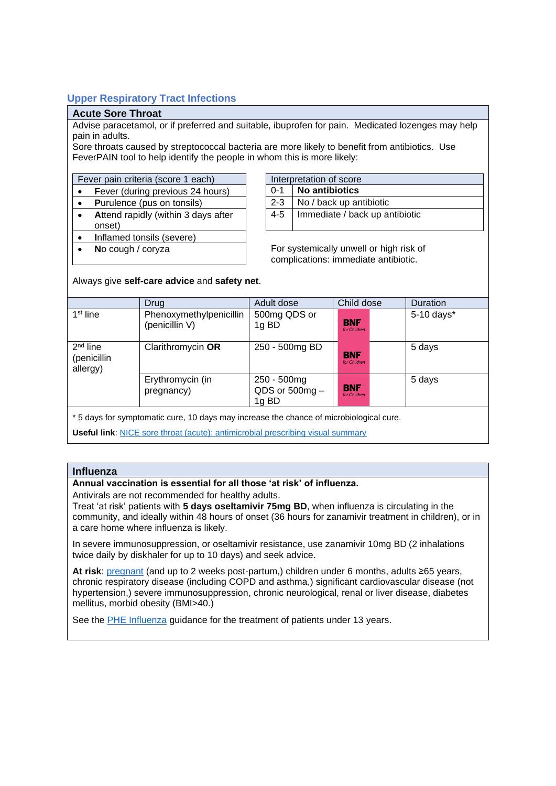#### <span id="page-5-0"></span>**Upper Respiratory Tract Infections**

#### <span id="page-5-1"></span>**Acute Sore Throat**

Advise paracetamol, or if preferred and suitable, ibuprofen for pain. Medicated lozenges may help pain in adults.

Sore throats caused by streptococcal bacteria are more likely to benefit from antibiotics. Use FeverPAIN tool to help identify the people in whom this is more likely:

Fever pain criteria (score 1 each) Interpretation of score

- 
- 
- **A**ttend rapidly (within 3 days after onset)
- **I**nflamed tonsils (severe)
- 

• Fever (during previous 24 hours)  $\begin{vmatrix} 1 & 0 & 1 \end{vmatrix}$  **No antibiotics** • **Purulence (pus on tonsils)** | 2-3 | No / back up antibiotic 4-5 Immediate / back up antibiotic

• No cough / coryza **For systemically unwell or high risk of** complications: immediate antibiotic.

#### Always give **self-care advice** and **safety net**.

|                                       | Drug                                                                                                                                                         | Adult dose                                                                                                                                                                                                                           | Child dose                 | Duration   |
|---------------------------------------|--------------------------------------------------------------------------------------------------------------------------------------------------------------|--------------------------------------------------------------------------------------------------------------------------------------------------------------------------------------------------------------------------------------|----------------------------|------------|
| $1st$ line                            | Phenoxymethylpenicillin<br>(penicillin V)                                                                                                                    | 500mg QDS or<br>1g BD                                                                                                                                                                                                                | <b>BNF</b><br>for Children | 5-10 days* |
| $2nd$ line<br>(penicillin<br>allergy) | Clarithromycin OR                                                                                                                                            | 250 - 500mg BD                                                                                                                                                                                                                       | <b>BNF</b><br>for Children | 5 days     |
|                                       | Erythromycin (in<br>pregnancy)                                                                                                                               | 250 - 500mg<br>QDS or 500mg -<br>1g BD                                                                                                                                                                                               | <b>BNF</b><br>for Children | 5 days     |
|                                       | the contract of the contract of the contract of the contract of the contract of the contract of the contract of<br>$\sim$ $\sim$ $\sim$ $\sim$ $\sim$ $\sim$ | $\blacksquare$ . The contract of the contract of the contract of the contract of the contract of the contract of the contract of the contract of the contract of the contract of the contract of the contract of the contract of the | .                          |            |

\* 5 days for symptomatic cure, 10 days may increase the chance of microbiological cure.

**Useful link**: [NICE sore throat \(acute\): antimicrobial prescribing visual summary](https://www.nice.org.uk/guidance/ng84/resources/visual-summary-pdf-4723226606)

#### <span id="page-5-2"></span>**Influenza**

#### **Annual vaccination is essential for all those 'at risk' of influenza.**

Antivirals are not recommended for healthy adults.

Treat 'at risk' patients with **5 days oseltamivir 75mg BD**, when influenza is circulating in the community, and ideally within 48 hours of onset (36 hours for zanamivir treatment in children), or in a care home where influenza is likely.

In severe immunosuppression, or oseltamivir resistance, use zanamivir 10mg BD (2 inhalations twice daily by diskhaler for up to 10 days) and seek advice.

**At risk**: [pregnant](http://www.uktis.org/) (and up to 2 weeks post-partum,) children under 6 months, adults ≥65 years, chronic respiratory disease (including COPD and asthma,) significant cardiovascular disease (not hypertension,) severe immunosuppression, chronic neurological, renal or liver disease, diabetes mellitus, morbid obesity (BMI>40.)

See the [PHE Influenza](https://www.gov.uk/government/publications/influenza-treatment-and-prophylaxis-using-anti-viral-agents) guidance for the treatment of patients under 13 years.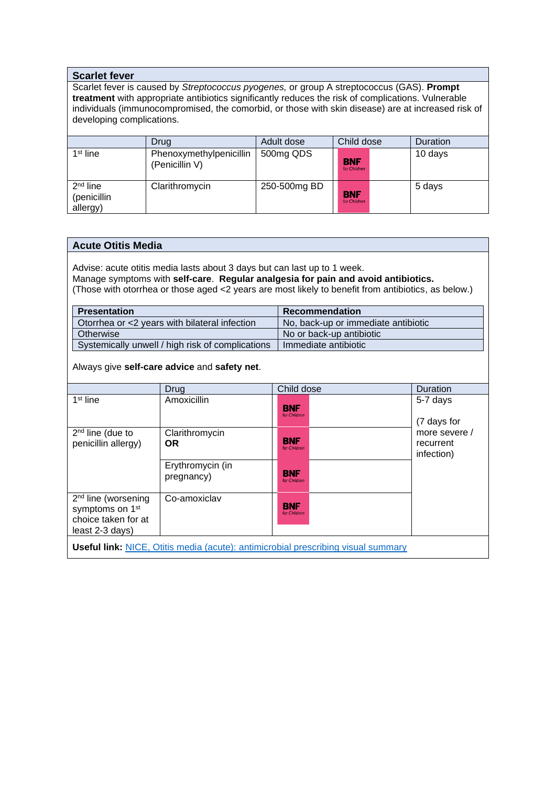#### <span id="page-6-0"></span>**Scarlet fever**

Scarlet fever is caused by *Streptococcus pyogenes,* or group A streptococcus (GAS). **Prompt treatment** with appropriate antibiotics significantly reduces the risk of complications. Vulnerable individuals (immunocompromised, the comorbid, or those with skin disease) are at increased risk of developing complications.

|                                                 | Drug                                      | Adult dose   | Child dose                 | <b>Duration</b> |
|-------------------------------------------------|-------------------------------------------|--------------|----------------------------|-----------------|
| $1st$ line                                      | Phenoxymethylpenicillin<br>(Penicillin V) | 500mg QDS    | <b>BNF</b><br>for Children | 10 days         |
| 2 <sup>nd</sup> line<br>(penicillin<br>allergy) | Clarithromycin                            | 250-500mg BD | <b>BNF</b><br>for Children | 5 days          |

#### <span id="page-6-1"></span>**Acute Otitis Media**

Advise: acute otitis media lasts about 3 days but can last up to 1 week. Manage symptoms with **self-care**. **Regular analgesia for pain and avoid antibiotics.** (Those with otorrhea or those aged <2 years are most likely to benefit from antibiotics, as below.)

| <b>Presentation</b>                              | Recommendation                      |
|--------------------------------------------------|-------------------------------------|
| Otorrhea or <2 years with bilateral infection    | No, back-up or immediate antibiotic |
| Otherwise                                        | No or back-up antibiotic            |
| Systemically unwell / high risk of complications | Immediate antibiotic                |

Always give **self-care advice** and **safety net**.

|                                                                                                            | Drug                           | Child dose                 | Duration                                 |
|------------------------------------------------------------------------------------------------------------|--------------------------------|----------------------------|------------------------------------------|
| $1st$ line                                                                                                 | Amoxicillin                    | <b>BNF</b><br>for Children | 5-7 days<br>(7 days for                  |
| $2nd$ line (due to<br>penicillin allergy)                                                                  | Clarithromycin<br><b>OR</b>    | <b>BNF</b><br>for Children | more severe /<br>recurrent<br>infection) |
|                                                                                                            | Erythromycin (in<br>pregnancy) | <b>BNF</b><br>for Children |                                          |
| 2 <sup>nd</sup> line (worsening<br>symptoms on 1 <sup>st</sup><br>choice taken for at<br>$least 2-3 days)$ | Co-amoxiclav                   | <b>BNF</b><br>for Children |                                          |
| <b>Useful link:</b> NICE, Otitis media (acute): antimicrobial prescribing visual summary                   |                                |                            |                                          |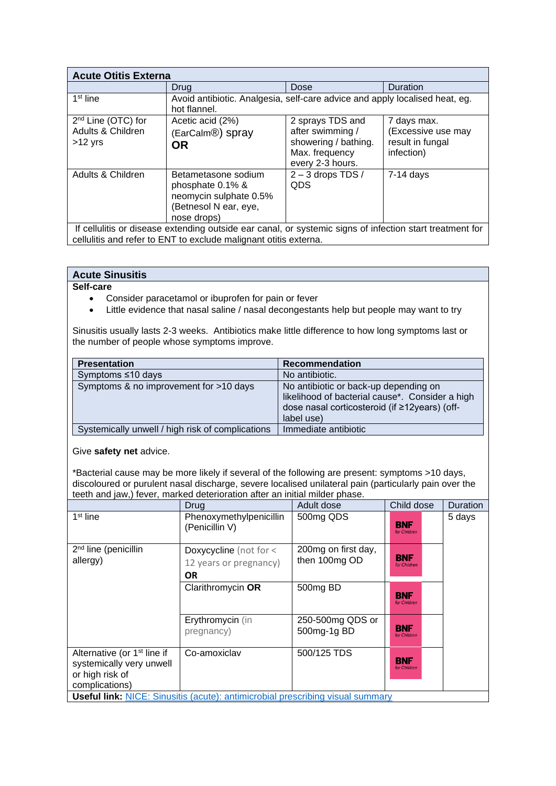<span id="page-7-0"></span>

| <b>Acute Otitis Externa</b>                                                                              |                                                                                                           |                                                                                                    |                                                                     |  |
|----------------------------------------------------------------------------------------------------------|-----------------------------------------------------------------------------------------------------------|----------------------------------------------------------------------------------------------------|---------------------------------------------------------------------|--|
|                                                                                                          | <b>Drug</b>                                                                                               | <b>Dose</b>                                                                                        | Duration                                                            |  |
| $1st$ line                                                                                               | Avoid antibiotic. Analgesia, self-care advice and apply localised heat, eg.<br>hot flannel.               |                                                                                                    |                                                                     |  |
| 2 <sup>nd</sup> Line (OTC) for<br>Adults & Children<br>$>12$ yrs                                         | Acetic acid (2%)<br>(EarCalm <sup>®</sup> ) spray<br>OR                                                   | 2 sprays TDS and<br>after swimming /<br>showering / bathing.<br>Max. frequency<br>every 2-3 hours. | 7 days max.<br>(Excessive use may<br>result in fungal<br>infection) |  |
| Adults & Children                                                                                        | Betametasone sodium<br>phosphate 0.1% &<br>neomycin sulphate 0.5%<br>(Betnesol N ear, eye,<br>nose drops) | $2 - 3$ drops TDS /<br><b>QDS</b>                                                                  | $7-14$ days                                                         |  |
| If cellulitis or disease extending outside ear canal, or systemic signs of infection start treatment for |                                                                                                           |                                                                                                    |                                                                     |  |

cellulitis and refer to ENT to exclude malignant otitis externa.

#### <span id="page-7-1"></span>**Acute Sinusitis**

**Self-care**

- Consider paracetamol or ibuprofen for pain or fever
- Little evidence that nasal saline / nasal decongestants help but people may want to try

Sinusitis usually lasts 2-3 weeks. Antibiotics make little difference to how long symptoms last or the number of people whose symptoms improve.

| <b>Presentation</b>                              | <b>Recommendation</b>                                                                                                                                   |
|--------------------------------------------------|---------------------------------------------------------------------------------------------------------------------------------------------------------|
| Symptoms ≤10 days                                | No antibiotic.                                                                                                                                          |
| Symptoms & no improvement for >10 days           | No antibiotic or back-up depending on<br>likelihood of bacterial cause*. Consider a high<br>dose nasal corticosteroid (if ≥12years) (off-<br>label use) |
| Systemically unwell / high risk of complications | Immediate antibiotic                                                                                                                                    |

Give **safety net** advice.

\*Bacterial cause may be more likely if several of the following are present: symptoms >10 days, discoloured or purulent nasal discharge, severe localised unilateral pain (particularly pain over the teeth and jaw,) fever, marked deterioration after an initial milder phase.

|                                                                                                          | Drug                                      | Adult dose                      | Child dose                 | Duration |
|----------------------------------------------------------------------------------------------------------|-------------------------------------------|---------------------------------|----------------------------|----------|
| $1st$ line                                                                                               | Phenoxymethylpenicillin<br>(Penicillin V) | 500mg QDS                       | <b>BNF</b><br>for Children | 5 days   |
| 2 <sup>nd</sup> line (penicillin                                                                         | Doxycycline (not for <                    | 200mg on first day,             |                            |          |
| allergy)                                                                                                 | 12 years or pregnancy)                    | then 100mg OD                   | <b>BNF</b><br>for Children |          |
|                                                                                                          | <b>OR</b>                                 |                                 |                            |          |
|                                                                                                          | Clarithromycin OR                         | 500mg BD                        | <b>BNF</b><br>for Children |          |
|                                                                                                          | Erythromycin (in<br>pregnancy)            | 250-500mg QDS or<br>500mg-1g BD | <b>BNF</b><br>for Children |          |
| Alternative (or 1 <sup>st</sup> line if<br>systemically very unwell<br>or high risk of<br>complications) | Co-amoxiclav                              | 500/125 TDS                     | <b>BNF</b><br>for Children |          |
| <b>Useful link:</b> NICE: Sinusitis (acute): antimicrobial prescribing visual summary                    |                                           |                                 |                            |          |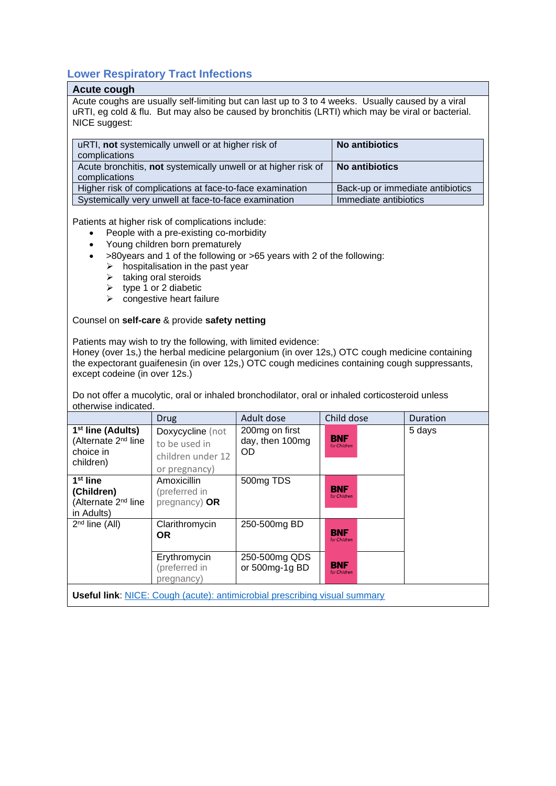# <span id="page-8-0"></span>**Lower Respiratory Tract Infections**

#### <span id="page-8-1"></span>**Acute cough**

Acute coughs are usually self-limiting but can last up to 3 to 4 weeks. Usually caused by a viral uRTI, eg cold & flu. But may also be caused by bronchitis (LRTI) which may be viral or bacterial. NICE suggest:

| uRTI, not systemically unwell or at higher risk of<br>complications             | No antibiotics                   |
|---------------------------------------------------------------------------------|----------------------------------|
| Acute bronchitis, not systemically unwell or at higher risk of<br>complications | No antibiotics                   |
| Higher risk of complications at face-to-face examination                        | Back-up or immediate antibiotics |
| Systemically very unwell at face-to-face examination                            | Immediate antibiotics            |

Patients at higher risk of complications include:

- People with a pre-existing co-morbidity
- Young children born prematurely
- >80years and 1 of the following or >65 years with 2 of the following:
	- $\triangleright$  hospitalisation in the past year
	- $\triangleright$  taking oral steroids
	- $\triangleright$  type 1 or 2 diabetic
	- $\triangleright$  congestive heart failure

#### Counsel on **self-care** & provide **safety netting**

Patients may wish to try the following, with limited evidence:

Honey (over 1s,) the herbal medicine pelargonium (in over 12s,) OTC cough medicine containing the expectorant guaifenesin (in over 12s,) OTC cough medicines containing cough suppressants, except codeine (in over 12s.)

Do not offer a mucolytic, oral or inhaled bronchodilator, oral or inhaled corticosteroid unless otherwise indicated.

|                                                                                            | Drug                                                                    | Adult dose                                     | Child dose                 | Duration |
|--------------------------------------------------------------------------------------------|-------------------------------------------------------------------------|------------------------------------------------|----------------------------|----------|
| 1 <sup>st</sup> line (Adults)<br>(Alternate 2 <sup>nd</sup> line<br>choice in<br>children) | Doxycycline (not<br>to be used in<br>children under 12<br>or pregnancy) | 200mg on first<br>day, then 100mg<br><b>OD</b> | <b>BNF</b><br>for Children | 5 days   |
| $1st$ line<br>(Children)<br>(Alternate 2 <sup>nd</sup> line<br>in Adults)                  | Amoxicillin<br>(preferred in<br>pregnancy) OR                           | 500mg TDS                                      | <b>BNF</b><br>for Children |          |
| $2nd$ line (All)                                                                           | Clarithromycin<br><b>OR</b>                                             | 250-500mg BD                                   | <b>BNF</b><br>for Children |          |
|                                                                                            | Erythromycin<br>(preferred in<br>pregnancy)                             | 250-500mg QDS<br>or 500mg-1g BD                | <b>BNF</b><br>for Children |          |
| <b>Useful link:</b> NICE: Cough (acute): antimicrobial prescribing visual summary          |                                                                         |                                                |                            |          |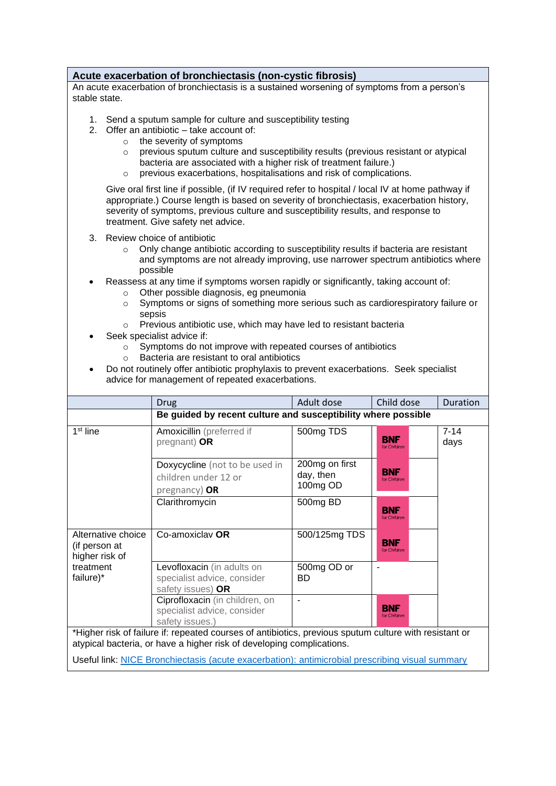#### <span id="page-9-0"></span>**Acute exacerbation of bronchiectasis (non-cystic fibrosis)**

An acute exacerbation of bronchiectasis is a sustained worsening of symptoms from a person's stable state.

- 1. Send a sputum sample for culture and susceptibility testing
- 2. Offer an antibiotic take account of:
	- o the severity of symptoms
		- $\circ$  previous sputum culture and susceptibility results (previous resistant or atypical bacteria are associated with a higher risk of treatment failure.)
		- o previous exacerbations, hospitalisations and risk of complications.

Give oral first line if possible, (if IV required refer to hospital / local IV at home pathway if appropriate.) Course length is based on severity of bronchiectasis, exacerbation history, severity of symptoms, previous culture and susceptibility results, and response to treatment. Give safety net advice.

- 3. Review choice of antibiotic
	- $\circ$  Only change antibiotic according to susceptibility results if bacteria are resistant and symptoms are not already improving, use narrower spectrum antibiotics where possible
- Reassess at any time if symptoms worsen rapidly or significantly, taking account of:
	- o Other possible diagnosis, eg pneumonia
	- $\circ$  Symptoms or signs of something more serious such as cardiorespiratory failure or sepsis
	- o Previous antibiotic use, which may have led to resistant bacteria
- Seek specialist advice if:
	- o Symptoms do not improve with repeated courses of antibiotics
	- o Bacteria are resistant to oral antibiotics
- Do not routinely offer antibiotic prophylaxis to prevent exacerbations. Seek specialist advice for management of repeated exacerbations.

|                                                                                                                                                                                 | Drug                                                                             | Adult dose                              | Child dose                 | Duration         |  |
|---------------------------------------------------------------------------------------------------------------------------------------------------------------------------------|----------------------------------------------------------------------------------|-----------------------------------------|----------------------------|------------------|--|
|                                                                                                                                                                                 | Be guided by recent culture and susceptibility where possible                    |                                         |                            |                  |  |
| $1st$ line                                                                                                                                                                      | Amoxicillin (preferred if<br>pregnant) OR                                        | 500mg TDS                               | <b>BNF</b><br>for Children | $7 - 14$<br>days |  |
|                                                                                                                                                                                 | Doxycycline (not to be used in<br>children under 12 or<br>pregnancy) OR          | 200mg on first<br>day, then<br>100mg OD | <b>BNF</b><br>for Children |                  |  |
|                                                                                                                                                                                 | Clarithromycin                                                                   | 500mg BD                                | <b>BNF</b><br>for Children |                  |  |
| Alternative choice<br>(if person at<br>higher risk of<br>treatment<br>failure)*                                                                                                 | Co-amoxiclav OR                                                                  | 500/125mg TDS                           | <b>BNF</b><br>for Children |                  |  |
|                                                                                                                                                                                 | Levofloxacin (in adults on<br>specialist advice, consider<br>safety issues) OR   | 500mg OD or<br>BD                       |                            |                  |  |
|                                                                                                                                                                                 | Ciprofloxacin (in children, on<br>specialist advice, consider<br>safety issues.) |                                         | <b>BNF</b><br>for Children |                  |  |
| *Higher risk of failure if: repeated courses of antibiotics, previous sputum culture with resistant or<br>atypical bacteria, or have a higher risk of developing complications. |                                                                                  |                                         |                            |                  |  |
| Useful link: NICE Bronchiectasis (acute exacerbation): antimicrobial prescribing visual summary                                                                                 |                                                                                  |                                         |                            |                  |  |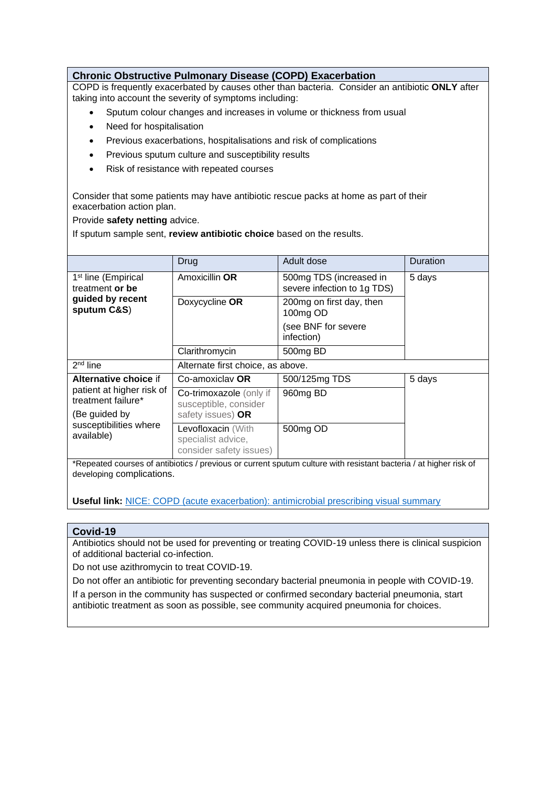#### <span id="page-10-0"></span>**Chronic Obstructive Pulmonary Disease (COPD) Exacerbation**

COPD is frequently exacerbated by causes other than bacteria. Consider an antibiotic **ONLY** after taking into account the severity of symptoms including:

- Sputum colour changes and increases in volume or thickness from usual
- Need for hospitalisation
- Previous exacerbations, hospitalisations and risk of complications
- Previous sputum culture and susceptibility results
- Risk of resistance with repeated courses

Consider that some patients may have antibiotic rescue packs at home as part of their exacerbation action plan.

Provide **safety netting** advice.

If sputum sample sent, **review antibiotic choice** based on the results.

| <b>Drug</b>                                                         | Adult dose                                             | Duration                                                                                                                                                                                                                          |
|---------------------------------------------------------------------|--------------------------------------------------------|-----------------------------------------------------------------------------------------------------------------------------------------------------------------------------------------------------------------------------------|
| Amoxicillin <b>OR</b>                                               | 500mg TDS (increased in<br>severe infection to 1g TDS) | 5 days                                                                                                                                                                                                                            |
| Doxycycline OR                                                      | 200mg on first day, then<br>100mg OD                   |                                                                                                                                                                                                                                   |
|                                                                     | (see BNF for severe<br>infection)                      |                                                                                                                                                                                                                                   |
| Clarithromycin                                                      | 500mg BD                                               |                                                                                                                                                                                                                                   |
|                                                                     |                                                        |                                                                                                                                                                                                                                   |
| Co-amoxiclay OR                                                     | 500/125mg TDS                                          | 5 days                                                                                                                                                                                                                            |
| Co-trimoxazole (only if<br>susceptible, consider                    | 960mg BD                                               |                                                                                                                                                                                                                                   |
| safety issues) OR                                                   |                                                        |                                                                                                                                                                                                                                   |
| Levofloxacin (With<br>specialist advice,<br>consider safety issues) | 500mg OD                                               | $\mathbf{r}$ . The set of the set of the set of the set of the set of the set of the set of the set of the set of the set of the set of the set of the set of the set of the set of the set of the set of the set of the set of t |
|                                                                     |                                                        | Alternate first choice, as above.<br>$\cdots$                                                                                                                                                                                     |

\*Repeated courses of antibiotics / previous or current sputum culture with resistant bacteria / at higher risk of developing complications.

**Useful link:** [NICE: COPD \(acute exacerbation\): antimicrobial prescribing visual summary](https://www.nice.org.uk/guidance/ng114/resources/guide-to-resources-pdf-6602624893)

#### <span id="page-10-1"></span>**Covid-19**

Antibiotics should not be used for preventing or treating COVID-19 unless there is clinical suspicion of additional bacterial co-infection.

Do not use azithromycin to treat COVID-19.

Do not offer an antibiotic for preventing secondary bacterial pneumonia in people with COVID-19.

If a person in the community has suspected or confirmed secondary bacterial pneumonia, start antibiotic treatment as soon as possible, see community acquired pneumonia for choices.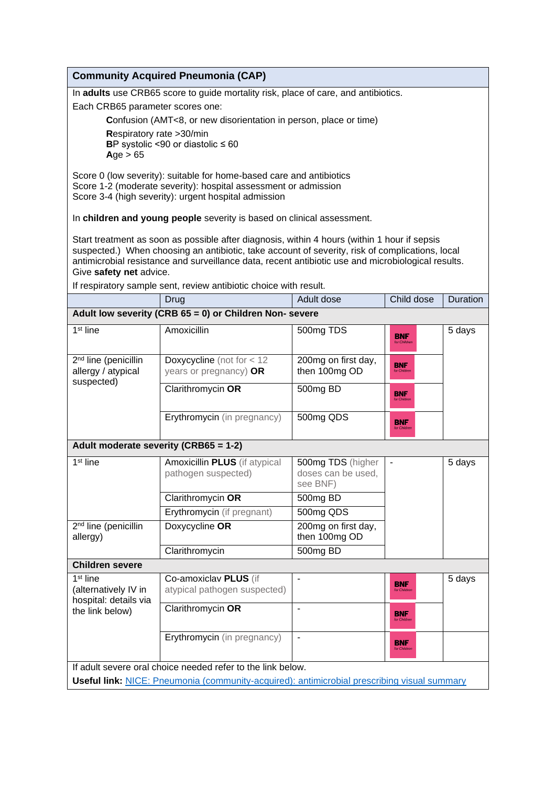#### <span id="page-11-0"></span>**Community Acquired Pneumonia (CAP)**

In **adults** use CRB65 score to guide mortality risk, place of care, and antibiotics.

Each CRB65 parameter scores one:

**Confusion (AMT<8, or new disorientation in person, place or time) R**espiratory rate >30/min **BP** systolic <90 or diastolic  $\leq 60$  $Age > 65$ 

Score 0 (low severity): suitable for home-based care and antibiotics Score 1-2 (moderate severity): hospital assessment or admission Score 3-4 (high severity): urgent hospital admission

In **children and young people** severity is based on clinical assessment.

Start treatment as soon as possible after diagnosis, within 4 hours (within 1 hour if sepsis suspected.) When choosing an antibiotic, take account of severity, risk of complications, local antimicrobial resistance and surveillance data, recent antibiotic use and microbiological results. Give **safety net** advice.

If respiratory sample sent, review antibiotic choice with result.

|                                                                                                    | Drug                                                        | Adult dose                                          | Child dose                        | Duration |  |  |
|----------------------------------------------------------------------------------------------------|-------------------------------------------------------------|-----------------------------------------------------|-----------------------------------|----------|--|--|
| Adult low severity (CRB 65 = 0) or Children Non- severe                                            |                                                             |                                                     |                                   |          |  |  |
| $1st$ line                                                                                         | Amoxicillin                                                 | 500mg TDS                                           | <b>BNF</b><br>for Children        | 5 days   |  |  |
| 2 <sup>nd</sup> line (penicillin<br>allergy / atypical<br>suspected)                               | Doxycycline (not for $<$ 12<br>years or pregnancy) OR       | 200mg on first day,<br>then 100mg OD                | <b>BNF</b><br><b>Inc.Children</b> |          |  |  |
|                                                                                                    | Clarithromycin OR                                           | 500mg BD                                            | <b>BNF</b><br>for Childrer        |          |  |  |
|                                                                                                    | Erythromycin (in pregnancy)                                 | 500mg QDS                                           | <b>BNF</b><br>for Children        |          |  |  |
| Adult moderate severity (CRB65 = 1-2)                                                              |                                                             |                                                     |                                   |          |  |  |
| $1st$ line                                                                                         | Amoxicillin PLUS (if atypical<br>pathogen suspected)        | 500mg TDS (higher<br>doses can be used,<br>see BNF) | $\overline{a}$                    | 5 days   |  |  |
|                                                                                                    | Clarithromycin OR                                           | 500mg BD                                            |                                   |          |  |  |
|                                                                                                    | Erythromycin (if pregnant)                                  | 500mg QDS                                           |                                   |          |  |  |
| 2 <sup>nd</sup> line (penicillin<br>allergy)                                                       | Doxycycline OR                                              | 200mg on first day,<br>then 100mg OD                |                                   |          |  |  |
|                                                                                                    | Clarithromycin                                              | 500mg BD                                            |                                   |          |  |  |
| <b>Children severe</b>                                                                             |                                                             |                                                     |                                   |          |  |  |
| $1st$ line<br>(alternatively IV in<br>hospital: details via                                        | Co-amoxiclav PLUS (if<br>atypical pathogen suspected)       | $\overline{\phantom{a}}$                            | <b>BNF</b><br>for Children        | 5 days   |  |  |
| the link below)                                                                                    | Clarithromycin OR                                           | L.                                                  | <b>BNF</b>                        |          |  |  |
|                                                                                                    | Erythromycin (in pregnancy)                                 | $\qquad \qquad \blacksquare$                        | <b>BNF</b><br>for Children        |          |  |  |
|                                                                                                    | If adult severe oral choice needed refer to the link below. |                                                     |                                   |          |  |  |
| <b>Useful link:</b> NICE: Pneumonia (community-acquired): antimicrobial prescribing visual summary |                                                             |                                                     |                                   |          |  |  |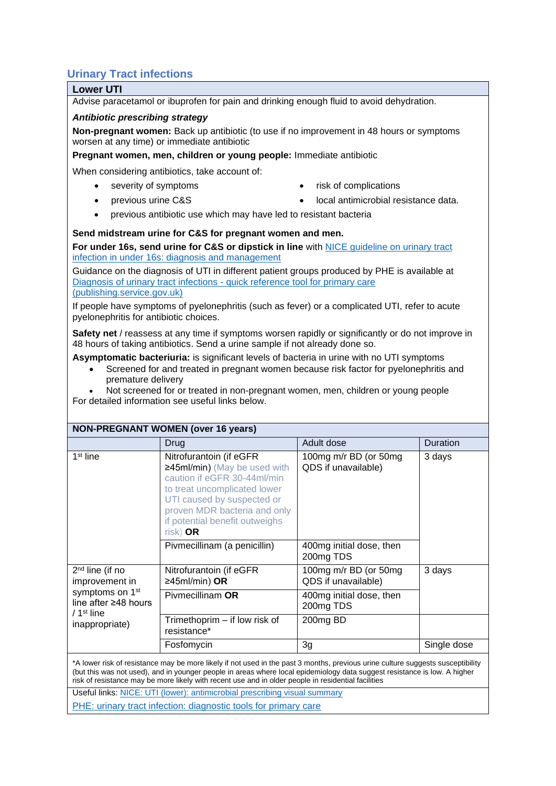# <span id="page-12-0"></span>**Urinary Tract infections**

#### <span id="page-12-1"></span>**Lower UTI**

Advise paracetamol or ibuprofen for pain and drinking enough fluid to avoid dehydration.

#### *Antibiotic prescribing strategy*

**Non-pregnant women:** Back up antibiotic (to use if no improvement in 48 hours or symptoms worsen at any time) or immediate antibiotic

#### **Pregnant women, men, children or young people:** Immediate antibiotic

When considering antibiotics, take account of:

- 
- severity of symptoms **•** risk of complications
- 
- previous urine C&S local antimicrobial resistance data.
- previous antibiotic use which may have led to resistant bacteria

#### **Send midstream urine for C&S for pregnant women and men.**

**For under 16s, send urine for C&S or dipstick in line** with [NICE guideline on urinary tract](https://www.nice.org.uk/guidance/cg54)  [infection in under 16s: diagnosis and management](https://www.nice.org.uk/guidance/cg54)

Guidance on the diagnosis of UTI in different patient groups produced by PHE is available at Diagnosis of urinary tract infections - [quick reference tool for primary care](https://assets.publishing.service.gov.uk/government/uploads/system/uploads/attachment_data/file/927195/UTI_diagnostic_flowchart_NICE-October_2020-FINAL.pdf)  [\(publishing.service.gov.uk\)](https://assets.publishing.service.gov.uk/government/uploads/system/uploads/attachment_data/file/927195/UTI_diagnostic_flowchart_NICE-October_2020-FINAL.pdf)

If people have symptoms of pyelonephritis (such as fever) or a complicated UTI, refer to acute pyelonephritis for antibiotic choices.

**Safety net** / reassess at any time if symptoms worsen rapidly or significantly or do not improve in 48 hours of taking antibiotics. Send a urine sample if not already done so.

**Asymptomatic bacteriuria:** is significant levels of bacteria in urine with no UTI symptoms

- Screened for and treated in pregnant women because risk factor for pyelonephritis and premature delivery
- Not screened for or treated in non-pregnant women, men, children or young people For detailed information see useful links below.

| <b>NON-PREGNANT WOMEN (over 16 years)</b>                                           |                                                                                                                                                                                                                                      |                                              |             |  |  |
|-------------------------------------------------------------------------------------|--------------------------------------------------------------------------------------------------------------------------------------------------------------------------------------------------------------------------------------|----------------------------------------------|-------------|--|--|
|                                                                                     | Drug                                                                                                                                                                                                                                 | Adult dose                                   | Duration    |  |  |
| $1st$ line                                                                          | Nitrofurantoin (if eGFR<br>≥45ml/min) (May be used with<br>caution if eGFR 30-44ml/min<br>to treat uncomplicated lower<br>UTI caused by suspected or<br>proven MDR bacteria and only<br>if potential benefit outweighs<br>$risk)$ OR |                                              | 3 days      |  |  |
|                                                                                     | Pivmecillinam (a penicillin)                                                                                                                                                                                                         | 400mg initial dose, then<br>200mg TDS        |             |  |  |
| $2nd$ line (if no<br>improvement in                                                 | Nitrofurantoin (if eGFR<br>$\geq$ 45ml/min) OR                                                                                                                                                                                       | 100mg m/r BD (or 50mg<br>QDS if unavailable) | 3 days      |  |  |
| symptoms on 1 <sup>st</sup><br>line after ≥48 hours<br>/ 1st line<br>inappropriate) | Pivmecillinam OR                                                                                                                                                                                                                     | 400mg initial dose, then<br>200mg TDS        |             |  |  |
|                                                                                     | Trimethoprim - if low risk of<br>resistance*                                                                                                                                                                                         | 200mg BD                                     |             |  |  |
|                                                                                     | Fosfomycin                                                                                                                                                                                                                           | 3g                                           | Single dose |  |  |

\*A lower risk of resistance may be more likely if not used in the past 3 months, previous urine culture suggests susceptibility (but this was not used), and in younger people in areas where local epidemiology data suggest resistance is low. A higher risk of resistance may be more likely with recent use and in older people in residential facilities

Useful links[: NICE: UTI \(lower\): antimicrobial prescribing visual summary](https://www.nice.org.uk/guidance/ng109/resources/visual-summary-pdf-6544021069)

[PHE: urinary tract infection: diagnostic tools for primary care](https://www.gov.uk/government/publications/urinary-tract-infection-diagnosis)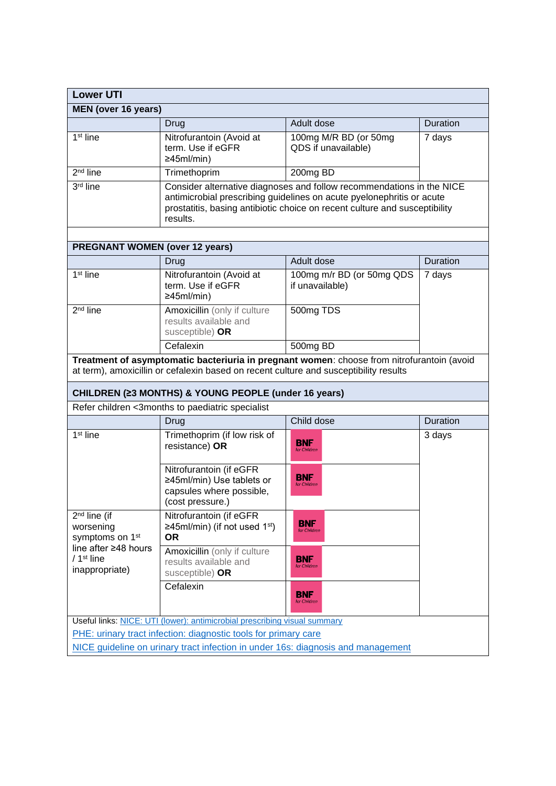| <b>Lower UTI</b>                                                                   |                                                                                                      |                                                                                                                                                                                                                              |          |  |
|------------------------------------------------------------------------------------|------------------------------------------------------------------------------------------------------|------------------------------------------------------------------------------------------------------------------------------------------------------------------------------------------------------------------------------|----------|--|
| <b>MEN (over 16 years)</b>                                                         |                                                                                                      |                                                                                                                                                                                                                              |          |  |
|                                                                                    | Drug                                                                                                 | Adult dose                                                                                                                                                                                                                   | Duration |  |
| 1 <sup>st</sup> line                                                               | Nitrofurantoin (Avoid at<br>term. Use if eGFR<br>≥45ml/min)                                          | 100mg M/R BD (or 50mg<br>QDS if unavailable)                                                                                                                                                                                 | 7 days   |  |
| 2 <sup>nd</sup> line                                                               | Trimethoprim                                                                                         | 200mg BD                                                                                                                                                                                                                     |          |  |
| 3rd line                                                                           | results.                                                                                             | Consider alternative diagnoses and follow recommendations in the NICE<br>antimicrobial prescribing guidelines on acute pyelonephritis or acute<br>prostatitis, basing antibiotic choice on recent culture and susceptibility |          |  |
| <b>PREGNANT WOMEN (over 12 years)</b>                                              |                                                                                                      |                                                                                                                                                                                                                              |          |  |
|                                                                                    | Drug                                                                                                 | Adult dose                                                                                                                                                                                                                   | Duration |  |
| $1st$ line                                                                         | Nitrofurantoin (Avoid at<br>term. Use if eGFR<br>$\geq$ 45ml/min)                                    | 100mg m/r BD (or 50mg QDS<br>if unavailable)                                                                                                                                                                                 | 7 days   |  |
| 2 <sup>nd</sup> line                                                               | 500mg TDS<br>Amoxicillin (only if culture<br>results available and<br>susceptible) OR                |                                                                                                                                                                                                                              |          |  |
|                                                                                    | Cefalexin                                                                                            | 500mg BD                                                                                                                                                                                                                     |          |  |
|                                                                                    | at term), amoxicillin or cefalexin based on recent culture and susceptibility results                | Treatment of asymptomatic bacteriuria in pregnant women: choose from nitrofurantoin (avoid                                                                                                                                   |          |  |
|                                                                                    | CHILDREN (23 MONTHS) & YOUNG PEOPLE (under 16 years)                                                 |                                                                                                                                                                                                                              |          |  |
|                                                                                    | Refer children <3months to paediatric specialist                                                     |                                                                                                                                                                                                                              |          |  |
|                                                                                    | Drug                                                                                                 | Child dose                                                                                                                                                                                                                   | Duration |  |
| 1 <sup>st</sup> line                                                               | Trimethoprim (if low risk of<br>resistance) OR                                                       | <b>BNF</b><br>for Children                                                                                                                                                                                                   | 3 days   |  |
|                                                                                    | Nitrofurantoin (if eGFR<br>≥45ml/min) Use tablets or<br>capsules where possible,<br>(cost pressure.) | <b>BNF</b><br>for Children                                                                                                                                                                                                   |          |  |
| $2nd$ line (if<br>worsening<br>symptoms on 1 <sup>st</sup><br>line after ≥48 hours | Nitrofurantoin (if eGFR<br>≥45ml/min) (if not used 1 <sup>st</sup> )<br><b>OR</b>                    | BNF<br>for Children                                                                                                                                                                                                          |          |  |
| $/1st$ line<br>inappropriate)                                                      | Amoxicillin (only if culture<br>results available and<br>susceptible) OR                             | <b>BNF</b><br>for Children                                                                                                                                                                                                   |          |  |
|                                                                                    | Cefalexin                                                                                            | <b>BNF</b><br>for Children                                                                                                                                                                                                   |          |  |
|                                                                                    | Useful links: NICE: UTI (lower): antimicrobial prescribing visual summary                            |                                                                                                                                                                                                                              |          |  |
|                                                                                    | PHE: urinary tract infection: diagnostic tools for primary care                                      |                                                                                                                                                                                                                              |          |  |
|                                                                                    |                                                                                                      | NICE guideline on urinary tract infection in under 16s: diagnosis and management                                                                                                                                             |          |  |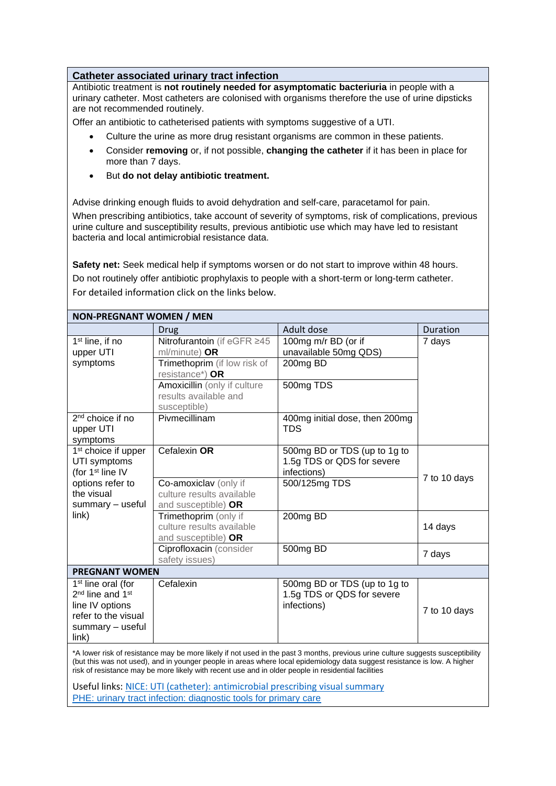#### <span id="page-14-0"></span>**Catheter associated urinary tract infection**

Antibiotic treatment is **not routinely needed for asymptomatic bacteriuria** in people with a urinary catheter. Most catheters are colonised with organisms therefore the use of urine dipsticks are not recommended routinely.

Offer an antibiotic to catheterised patients with symptoms suggestive of a UTI.

- Culture the urine as more drug resistant organisms are common in these patients.
- Consider **removing** or, if not possible, **changing the catheter** if it has been in place for more than 7 days.
- But **do not delay antibiotic treatment.**

Advise drinking enough fluids to avoid dehydration and self-care, paracetamol for pain. When prescribing antibiotics, take account of severity of symptoms, risk of complications, previous urine culture and susceptibility results, previous antibiotic use which may have led to resistant bacteria and local antimicrobial resistance data.

**Safety net:** Seek medical help if symptoms worsen or do not start to improve within 48 hours. Do not routinely offer antibiotic prophylaxis to people with a short-term or long-term catheter. For detailed information click on the links below.

| <b>NON-PREGNANT WOMEN / MEN</b>                                                                                                                             |                                                                                                     |                                                                                                                                                                                                                                                              |              |  |
|-------------------------------------------------------------------------------------------------------------------------------------------------------------|-----------------------------------------------------------------------------------------------------|--------------------------------------------------------------------------------------------------------------------------------------------------------------------------------------------------------------------------------------------------------------|--------------|--|
|                                                                                                                                                             | Drug                                                                                                | Adult dose                                                                                                                                                                                                                                                   | Duration     |  |
| 1 <sup>st</sup> line, if no<br>upper UTI<br>symptoms                                                                                                        | Nitrofurantoin (if eGFR ≥45<br>ml/minute) OR<br>Trimethoprim (if low risk of<br>resistance*) OR     | 100mg m/r BD (or if<br>unavailable 50mg QDS)<br>200mg BD                                                                                                                                                                                                     | 7 days       |  |
|                                                                                                                                                             | Amoxicillin (only if culture<br>results available and<br>susceptible)                               | 500mg TDS                                                                                                                                                                                                                                                    |              |  |
| 2 <sup>nd</sup> choice if no<br>upper UTI<br>symptoms                                                                                                       | Pivmecillinam                                                                                       | 400mg initial dose, then 200mg<br><b>TDS</b>                                                                                                                                                                                                                 |              |  |
| 1 <sup>st</sup> choice if upper<br>UTI symptoms<br>(for 1 <sup>st</sup> line IV                                                                             | Cefalexin OR                                                                                        | 500mg BD or TDS (up to 1g to<br>1.5g TDS or QDS for severe<br>infections)                                                                                                                                                                                    | 7 to 10 days |  |
| options refer to<br>the visual<br>summary - useful                                                                                                          | Co-amoxiclav (only if<br>culture results available<br>and susceptible) OR                           | 500/125mg TDS                                                                                                                                                                                                                                                |              |  |
| link)                                                                                                                                                       | Trimethoprim (only if<br>culture results available<br>and susceptible) OR                           | 200mg BD                                                                                                                                                                                                                                                     | 14 days      |  |
|                                                                                                                                                             | Ciprofloxacin (consider<br>safety issues)                                                           | 500mg BD                                                                                                                                                                                                                                                     | 7 days       |  |
| <b>PREGNANT WOMEN</b>                                                                                                                                       |                                                                                                     |                                                                                                                                                                                                                                                              |              |  |
| 1 <sup>st</sup> line oral (for<br>2 <sup>nd</sup> line and 1 <sup>st</sup><br>line IV options<br>refer to the visual<br>summary - useful<br>$\mathsf{link}$ | Cefalexin                                                                                           | 500mg BD or TDS (up to 1g to<br>1.5g TDS or QDS for severe<br>infections)                                                                                                                                                                                    | 7 to 10 days |  |
|                                                                                                                                                             | risk of resistance may be more likely with recent use and in older people in residential facilities | *A lower risk of resistance may be more likely if not used in the past 3 months, previous urine culture suggests susceptibility<br>(but this was not used), and in younger people in areas where local epidemiology data suggest resistance is low. A higher |              |  |

Useful links: [NICE: UTI \(catheter\): antimicrobial prescribing visual summary](https://www.nice.org.uk/guidance/ng113/resources/visual-summary-pdf-6599495053) [PHE: urinary tract infection: diagnostic tools for primary care](https://www.gov.uk/government/publications/urinary-tract-infection-diagnosis)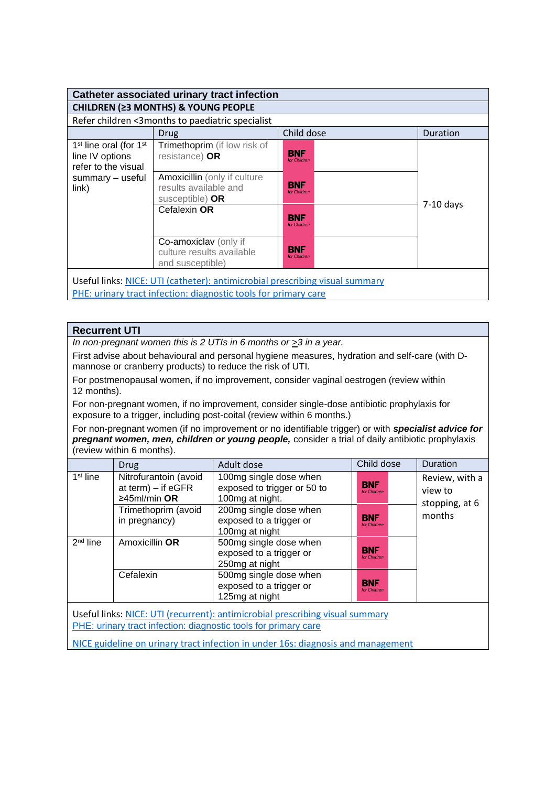|                                                                                          | Catheter associated urinary tract infection                                                                                                     |                            |             |  |  |
|------------------------------------------------------------------------------------------|-------------------------------------------------------------------------------------------------------------------------------------------------|----------------------------|-------------|--|--|
|                                                                                          | CHILDREN (≥3 MONTHS) & YOUNG PEOPLE                                                                                                             |                            |             |  |  |
|                                                                                          | Refer children <3months to paediatric specialist                                                                                                |                            |             |  |  |
|                                                                                          | Drug                                                                                                                                            | Child dose                 | Duration    |  |  |
| 1 <sup>st</sup> line oral (for 1 <sup>st</sup><br>line IV options<br>refer to the visual | Trimethoprim (if low risk of<br>resistance) OR                                                                                                  | <b>BNF</b><br>for Children |             |  |  |
| summary - useful<br>$\mathsf{link}$                                                      | Amoxicillin (only if culture<br>results available and<br>susceptible) OR                                                                        | <b>BNF</b><br>for Children |             |  |  |
|                                                                                          | Cefalexin OR                                                                                                                                    | <b>BNF</b><br>for Children | $7-10$ days |  |  |
|                                                                                          | Co-amoxiclav (only if<br>culture results available<br>and susceptible)                                                                          | <b>BNF</b><br>for Children |             |  |  |
|                                                                                          | Useful links: NICE: UTI (catheter): antimicrobial prescribing visual summary<br>PHE: urinary tract infection: diagnostic tools for primary care |                            |             |  |  |

#### <span id="page-15-0"></span>**Recurrent UTI**

*In non-pregnant women this is 2 UTIs in 6 months or >3 in a year.*

First advise about behavioural and personal hygiene measures, hydration and self-care (with Dmannose or cranberry products) to reduce the risk of UTI.

For postmenopausal women, if no improvement, consider vaginal oestrogen (review within 12 months).

For non-pregnant women, if no improvement, consider single-dose antibiotic prophylaxis for exposure to a trigger, including post-coital (review within 6 months.)

For non-pregnant women (if no improvement or no identifiable trigger) or with *specialist advice for pregnant women, men, children or young people,* consider a trial of daily antibiotic prophylaxis (review within 6 months).

|            | <b>Drug</b>                                                   | Adult dose                                                               | Child dose                 | <b>Duration</b>                             |
|------------|---------------------------------------------------------------|--------------------------------------------------------------------------|----------------------------|---------------------------------------------|
| $1st$ line | Nitrofurantoin (avoid<br>at term) $-$ if eGFR<br>≥45ml/min OR | 100mg single dose when<br>exposed to trigger or 50 to<br>100mg at night. | <b>BNF</b><br>for Children | Review, with a<br>view to<br>stopping, at 6 |
|            | Trimethoprim (avoid<br>in pregnancy)                          | 200mg single dose when<br>exposed to a trigger or<br>100mg at night      | <b>BNF</b><br>for Children | months                                      |
| $2nd$ line | Amoxicillin OR                                                | 500mg single dose when<br>exposed to a trigger or<br>250mg at night      | <b>BNF</b><br>for Children |                                             |
|            | Cefalexin                                                     | 500mg single dose when<br>exposed to a trigger or<br>125mg at night      | <b>BNF</b><br>for Children |                                             |

Useful links: [NICE: UTI \(recurrent\): antimicrobial prescribing visual summary](https://www.nice.org.uk/guidance/ng112/resources/visual-summary-pdf-6544163629) [PHE: urinary tract infection: diagnostic tools for primary care](https://www.gov.uk/government/publications/urinary-tract-infection-diagnosis)

[NICE guideline on urinary tract infection in under 16s: diagnosis and management](https://www.nice.org.uk/guidance/cg54)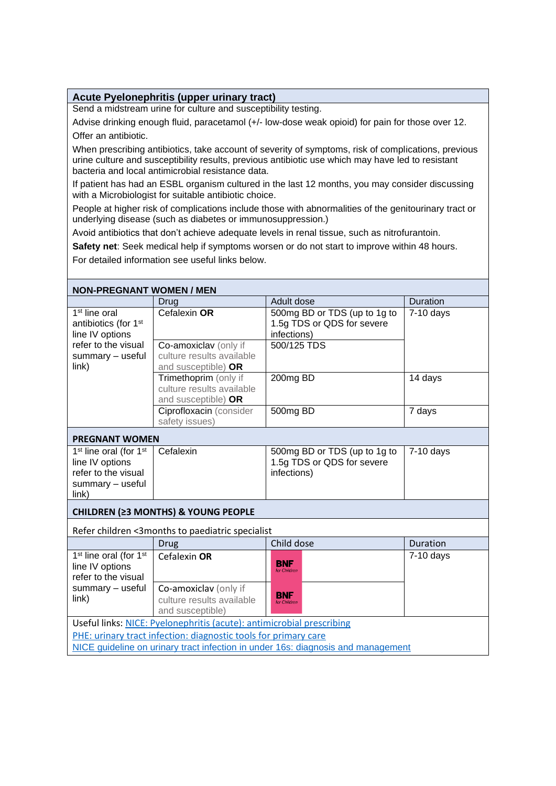#### <span id="page-16-0"></span>**Acute Pyelonephritis (upper urinary tract)**

Send a midstream urine for culture and susceptibility testing.

Advise drinking enough fluid, paracetamol (+/- low-dose weak opioid) for pain for those over 12. Offer an antibiotic.

When prescribing antibiotics, take account of severity of symptoms, risk of complications, previous urine culture and susceptibility results, previous antibiotic use which may have led to resistant bacteria and local antimicrobial resistance data.

If patient has had an ESBL organism cultured in the last 12 months, you may consider discussing with a Microbiologist for suitable antibiotic choice.

People at higher risk of complications include those with abnormalities of the genitourinary tract or underlying disease (such as diabetes or immunosuppression.)

Avoid antibiotics that don't achieve adequate levels in renal tissue, such as nitrofurantoin.

**Safety net**: Seek medical help if symptoms worsen or do not start to improve within 48 hours. For detailed information see useful links below.

| <b>NON-PREGNANT WOMEN / MEN</b>                                                                                                          |                                                                           |                                                                                  |             |  |
|------------------------------------------------------------------------------------------------------------------------------------------|---------------------------------------------------------------------------|----------------------------------------------------------------------------------|-------------|--|
|                                                                                                                                          | Drug                                                                      | Adult dose                                                                       | Duration    |  |
| 1 <sup>st</sup> line oral<br>antibiotics (for 1 <sup>st</sup><br>line IV options<br>refer to the visual                                  | Cefalexin OR                                                              | 500mg BD or TDS (up to 1g to<br>1.5g TDS or QDS for severe<br>infections)        | $7-10$ days |  |
| summary - useful<br>link)                                                                                                                | Co-amoxiclav (only if<br>culture results available<br>and susceptible) OR | 500/125 TDS                                                                      |             |  |
|                                                                                                                                          | Trimethoprim (only if<br>culture results available<br>and susceptible) OR | 200mg BD                                                                         | 14 days     |  |
|                                                                                                                                          | Ciprofloxacin (consider<br>safety issues)                                 | 500mg BD                                                                         | 7 days      |  |
| <b>PREGNANT WOMEN</b>                                                                                                                    |                                                                           |                                                                                  |             |  |
| 1 <sup>st</sup> line oral (for 1 <sup>st</sup><br>line IV options<br>refer to the visual<br>summary - useful<br>$\overline{\text{link}}$ | Cefalexin                                                                 | 500mg BD or TDS (up to 1g to<br>1.5g TDS or QDS for severe<br>infections)        | 7-10 days   |  |
|                                                                                                                                          | CHILDREN (≥3 MONTHS) & YOUNG PEOPLE                                       |                                                                                  |             |  |
|                                                                                                                                          | Refer children <3months to paediatric specialist                          |                                                                                  |             |  |
|                                                                                                                                          | <b>Drug</b>                                                               | Child dose                                                                       | Duration    |  |
| 1 <sup>st</sup> line oral (for 1 <sup>st</sup><br>line IV options<br>refer to the visual                                                 | Cefalexin OR                                                              | <b>BNF</b><br>for Children                                                       | $7-10$ days |  |
| summary - useful<br>link)                                                                                                                | Co-amoxiclav (only if<br>culture results available<br>and susceptible)    | <b>BNF</b><br>for Children                                                       |             |  |
| Useful links: NICE: Pyelonephritis (acute): antimicrobial prescribing                                                                    |                                                                           |                                                                                  |             |  |
| PHE: urinary tract infection: diagnostic tools for primary care                                                                          |                                                                           |                                                                                  |             |  |
|                                                                                                                                          |                                                                           | NICE guideline on urinary tract infection in under 16s: diagnosis and management |             |  |
|                                                                                                                                          |                                                                           |                                                                                  |             |  |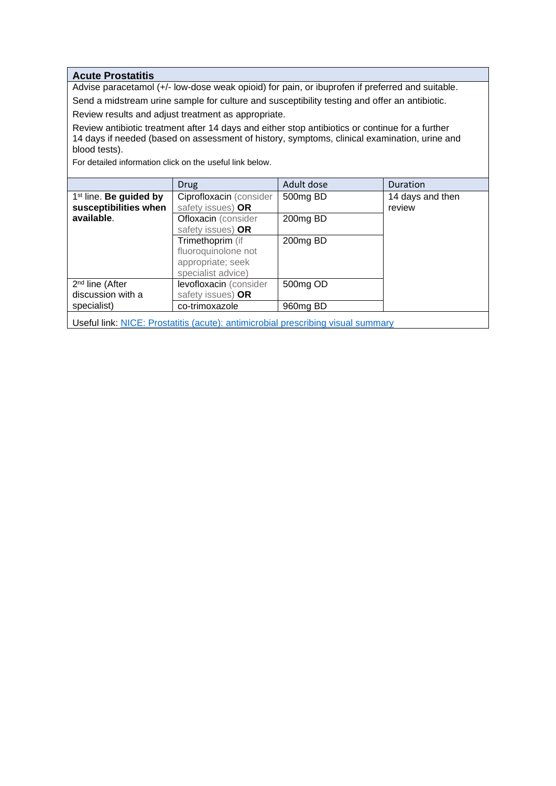#### <span id="page-17-0"></span>**Acute Prostatitis**

Advise paracetamol (+/- low-dose weak opioid) for pain, or ibuprofen if preferred and suitable.

Send a midstream urine sample for culture and susceptibility testing and offer an antibiotic. Review results and adjust treatment as appropriate.

Review antibiotic treatment after 14 days and either stop antibiotics or continue for a further 14 days if needed (based on assessment of history, symptoms, clinical examination, urine and blood tests).

For detailed information click on the useful link below.

|                                                                                   | <b>Drug</b>                                                                        | Adult dose | <b>Duration</b>            |  |  |
|-----------------------------------------------------------------------------------|------------------------------------------------------------------------------------|------------|----------------------------|--|--|
| $1st$ line. Be guided by<br>susceptibilities when                                 | Ciprofloxacin (consider<br>safety issues) OR                                       | 500mg BD   | 14 days and then<br>review |  |  |
| available.                                                                        | Ofloxacin (consider                                                                | 200mg BD   |                            |  |  |
|                                                                                   | safety issues) OR                                                                  |            |                            |  |  |
|                                                                                   | Trimethoprim (if<br>fluoroquinolone not<br>appropriate; seek<br>specialist advice) | 200mg BD   |                            |  |  |
| 2 <sup>nd</sup> line (After                                                       | levofloxacin (consider                                                             | 500mg OD   |                            |  |  |
| discussion with a                                                                 | safety issues) OR                                                                  |            |                            |  |  |
| specialist)                                                                       | co-trimoxazole                                                                     | 960mg BD   |                            |  |  |
| Lleeful liele NIOE: Drootetitio (aquta): ontimiarabial proceribing viqual qummane |                                                                                    |            |                            |  |  |

Useful link: [NICE: Prostatitis \(acute\): antimicrobial prescribing visual summary](https://www.nice.org.uk/guidance/ng110/resources/visual-summary-pdf-6544018477)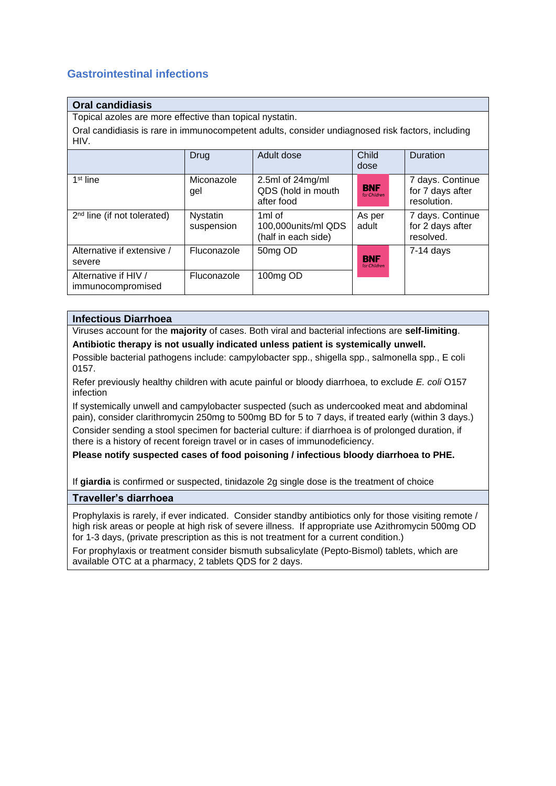# <span id="page-18-0"></span>**Gastrointestinal infections**

#### <span id="page-18-1"></span>**Oral candidiasis**

Topical azoles are more effective than topical nystatin.

Oral candidiasis is rare in immunocompetent adults, consider undiagnosed risk factors, including HIV.

|                                           | Drug                   | Adult dose                                                       | Child<br>dose              | Duration                                            |
|-------------------------------------------|------------------------|------------------------------------------------------------------|----------------------------|-----------------------------------------------------|
| $1st$ line                                | Miconazole<br>gel      | 2.5ml of 24mg/ml<br>QDS (hold in mouth<br>after food             | <b>BNF</b><br>for Children | 7 days. Continue<br>for 7 days after<br>resolution. |
| $2nd$ line (if not tolerated)             | Nystatin<br>suspension | 1 <sub>ml</sub> of<br>100,000units/ml QDS<br>(half in each side) | As per<br>adult            | 7 days. Continue<br>for 2 days after<br>resolved.   |
| Alternative if extensive /<br>severe      | Fluconazole            | 50mg OD                                                          | <b>BNF</b><br>for Children | $7-14$ days                                         |
| Alternative if HIV /<br>immunocompromised | Fluconazole            | 100mg OD                                                         |                            |                                                     |

#### <span id="page-18-2"></span>**Infectious Diarrhoea**

Viruses account for the **majority** of cases. Both viral and bacterial infections are **self-limiting**. **Antibiotic therapy is not usually indicated unless patient is systemically unwell.**

Possible bacterial pathogens include: campylobacter spp., shigella spp., salmonella spp., E coli 0157.

Refer previously healthy children with acute painful or bloody diarrhoea, to exclude *E. coli* O157 infection

If systemically unwell and campylobacter suspected (such as undercooked meat and abdominal pain), consider clarithromycin 250mg to 500mg BD for 5 to 7 days, if treated early (within 3 days.)

Consider sending a stool specimen for bacterial culture: if diarrhoea is of prolonged duration, if there is a history of recent foreign travel or in cases of immunodeficiency.

**Please notify suspected cases of food poisoning / infectious bloody diarrhoea to PHE.**

If **giardia** is confirmed or suspected, tinidazole 2g single dose is the treatment of choice

#### <span id="page-18-3"></span>**Traveller's diarrhoea**

Prophylaxis is rarely, if ever indicated. Consider standby antibiotics only for those visiting remote / high risk areas or people at high risk of severe illness. If appropriate use Azithromycin 500mg OD for 1-3 days, (private prescription as this is not treatment for a current condition.)

For prophylaxis or treatment consider bismuth subsalicylate (Pepto-Bismol) tablets, which are available OTC at a pharmacy, 2 tablets QDS for 2 days.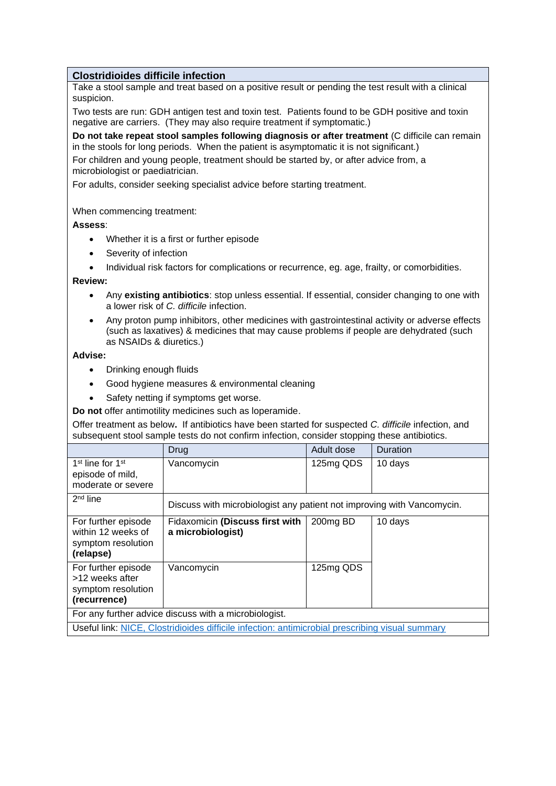#### <span id="page-19-0"></span>**Clostridioides difficile infection**

Take a stool sample and treat based on a positive result or pending the test result with a clinical suspicion.

Two tests are run: GDH antigen test and toxin test. Patients found to be GDH positive and toxin negative are carriers. (They may also require treatment if symptomatic.)

**Do not take repeat stool samples following diagnosis or after treatment** (C difficile can remain in the stools for long periods. When the patient is asymptomatic it is not significant.)

For children and young people, treatment should be started by, or after advice from, a microbiologist or paediatrician.

For adults, consider seeking specialist advice before starting treatment.

#### When commencing treatment:

**Assess**:

- Whether it is a first or further episode
- Severity of infection
- Individual risk factors for complications or recurrence, eg. age, frailty, or comorbidities.

**Review:**

- Any **existing antibiotics**: stop unless essential. If essential, consider changing to one with a lower risk of *C. difficile* infection.
- Any proton pump inhibitors, other medicines with gastrointestinal activity or adverse effects (such as laxatives) & medicines that may cause problems if people are dehydrated (such as NSAIDs & diuretics.)

#### **Advise:**

- Drinking enough fluids
- Good hygiene measures & environmental cleaning
- Safety netting if symptoms get worse.

**Do not** offer antimotility medicines such as loperamide.

Offer treatment as below**.** If antibiotics have been started for suspected *C. difficile* infection, and subsequent stool sample tests do not confirm infection, consider stopping these antibiotics.

|                                                                                                 | Drug                                                                   | Adult dose | Duration |  |
|-------------------------------------------------------------------------------------------------|------------------------------------------------------------------------|------------|----------|--|
| 1 <sup>st</sup> line for 1 <sup>st</sup><br>episode of mild,<br>moderate or severe              | Vancomycin                                                             | 125mg QDS  | 10 days  |  |
| $2nd$ line                                                                                      | Discuss with microbiologist any patient not improving with Vancomycin. |            |          |  |
| For further episode<br>within 12 weeks of<br>symptom resolution<br>(relapse)                    | Fidaxomicin (Discuss first with<br>a microbiologist)                   | 200mg BD   | 10 days  |  |
| For further episode<br>>12 weeks after<br>symptom resolution<br>(recurrence)                    | Vancomycin                                                             | 125mg QDS  |          |  |
| For any further advice discuss with a microbiologist.                                           |                                                                        |            |          |  |
| Useful link: NICE, Clostridioides difficile infection: antimicrobial prescribing visual summary |                                                                        |            |          |  |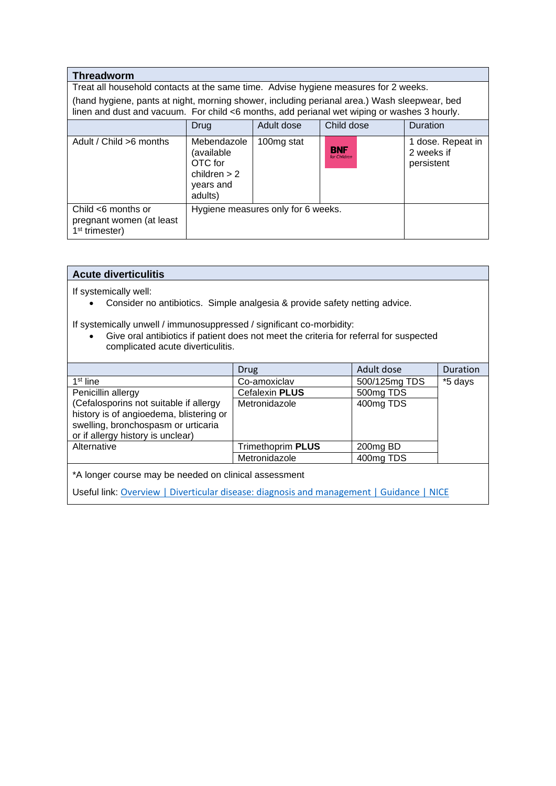<span id="page-20-0"></span>

| <b>Threadworm</b>                                                                                                                                                                           |                                                                                |            |                            |                                               |  |
|---------------------------------------------------------------------------------------------------------------------------------------------------------------------------------------------|--------------------------------------------------------------------------------|------------|----------------------------|-----------------------------------------------|--|
| Treat all household contacts at the same time. Advise hygiene measures for 2 weeks.                                                                                                         |                                                                                |            |                            |                                               |  |
| (hand hygiene, pants at night, morning shower, including perianal area.) Wash sleepwear, bed<br>linen and dust and vacuum. For child <6 months, add perianal wet wiping or washes 3 hourly. |                                                                                |            |                            |                                               |  |
|                                                                                                                                                                                             | Drug                                                                           | Adult dose | Child dose                 | Duration                                      |  |
| Adult / Child > 6 months                                                                                                                                                                    | Mebendazole<br>(available<br>OTC for<br>children $> 2$<br>years and<br>adults) | 100mg stat | <b>BNF</b><br>for Children | 1 dose. Repeat in<br>2 weeks if<br>persistent |  |
| Child $<$ 6 months or<br>pregnant women (at least<br>1 <sup>st</sup> trimester)                                                                                                             | Hygiene measures only for 6 weeks.                                             |            |                            |                                               |  |

# <span id="page-20-1"></span>**Acute diverticulitis**

If systemically well:

• Consider no antibiotics. Simple analgesia & provide safety netting advice.

If systemically unwell / immunosuppressed / significant co-morbidity:

• Give oral antibiotics if patient does not meet the criteria for referral for suspected complicated acute diverticulitis.

|                                                       | Drug                  | Adult dose    | Duration |
|-------------------------------------------------------|-----------------------|---------------|----------|
| 1 <sup>st</sup> line                                  | Co-amoxiclav          | 500/125mg TDS | *5 days  |
| Penicillin allergy                                    | Cefalexin <b>PLUS</b> | 500mg TDS     |          |
| (Cefalosporins not suitable if allergy                | Metronidazole         | 400mg TDS     |          |
| history is of angioedema, blistering or               |                       |               |          |
| swelling, bronchospasm or urticaria                   |                       |               |          |
| or if allergy history is unclear)                     |                       |               |          |
| Alternative                                           | Trimethoprim PLUS     | 200mg BD      |          |
|                                                       | Metronidazole         | 400mg TDS     |          |
| *A longer course may be needed on clinical assessment |                       |               |          |

Useful link: [Overview | Diverticular disease: diagnosis and management | Guidance | NICE](https://www.nice.org.uk/guidance/NG147)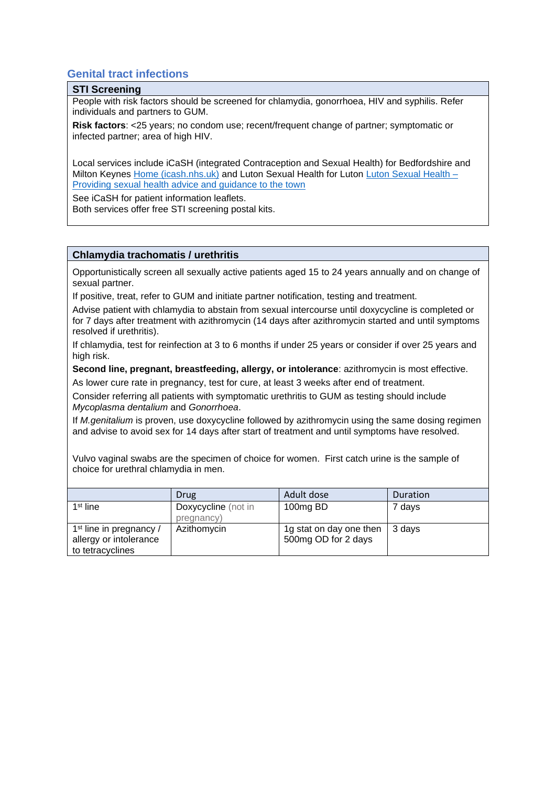# <span id="page-21-0"></span>**Genital tract infections**

#### <span id="page-21-1"></span>**STI Screening**

People with risk factors should be screened for chlamydia, gonorrhoea, HIV and syphilis. Refer individuals and partners to GUM.

**Risk factors**: <25 years; no condom use; recent/frequent change of partner; symptomatic or infected partner; area of high HIV.

Local services include iCaSH (integrated Contraception and Sexual Health) for Bedfordshire and Milton Keynes [Home \(icash.nhs.uk\)](https://www.icash.nhs.uk/) and Luton Sexual Health for Luton [Luton Sexual Health –](https://www.lutonsexualhealth.org.uk/) [Providing sexual health advice and guidance to the town](https://www.lutonsexualhealth.org.uk/)

See iCaSH for patient information leaflets.

Both services offer free STI screening postal kits.

#### <span id="page-21-2"></span>**Chlamydia trachomatis / urethritis**

Opportunistically screen all sexually active patients aged 15 to 24 years annually and on change of sexual partner.

If positive, treat, refer to GUM and initiate partner notification, testing and treatment.

Advise patient with chlamydia to abstain from sexual intercourse until doxycycline is completed or for 7 days after treatment with azithromycin (14 days after azithromycin started and until symptoms resolved if urethritis).

If chlamydia, test for reinfection at 3 to 6 months if under 25 years or consider if over 25 years and high risk.

**Second line, pregnant, breastfeeding, allergy, or intolerance**: azithromycin is most effective.

As lower cure rate in pregnancy, test for cure, at least 3 weeks after end of treatment.

Consider referring all patients with symptomatic urethritis to GUM as testing should include *Mycoplasma dentalium* and *Gonorrhoea*.

If *M.genitalium* is proven, use doxycycline followed by azithromycin using the same dosing regimen and advise to avoid sex for 14 days after start of treatment and until symptoms have resolved.

Vulvo vaginal swabs are the specimen of choice for women. First catch urine is the sample of choice for urethral chlamydia in men.

|                                     | Drug                | Adult dose              | Duration |
|-------------------------------------|---------------------|-------------------------|----------|
| $1st$ line                          | Doxycycline (not in | 100mg BD                | 7 days   |
|                                     | pregnancy)          |                         |          |
| 1 <sup>st</sup> line in pregnancy / | Azithomycin         | 1g stat on day one then | 3 days   |
| allergy or intolerance              |                     | 500mg OD for 2 days     |          |
| to tetracyclines                    |                     |                         |          |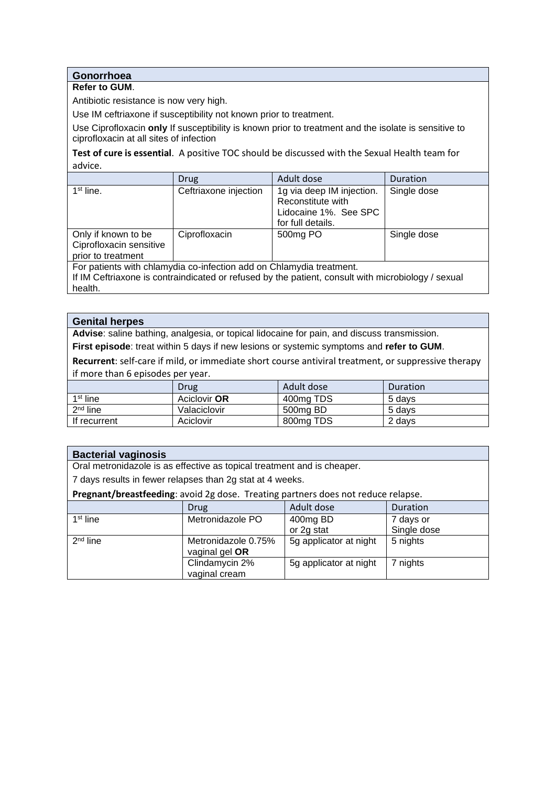#### <span id="page-22-0"></span>**Gonorrhoea**

#### **Refer to GUM**.

Antibiotic resistance is now very high.

Use IM ceftriaxone if susceptibility not known prior to treatment.

Use Ciprofloxacin **only** If susceptibility is known prior to treatment and the isolate is sensitive to ciprofloxacin at all sites of infection

**Test of cure is essential**. A positive TOC should be discussed with the Sexual Health team for advice.

|                                                                                                    | <b>Drug</b>           | Adult dose                                                              | Duration    |  |
|----------------------------------------------------------------------------------------------------|-----------------------|-------------------------------------------------------------------------|-------------|--|
| $1st$ line.                                                                                        | Ceftriaxone injection | 1g via deep IM injection.<br>Reconstitute with<br>Lidocaine 1%. See SPC | Single dose |  |
|                                                                                                    |                       | for full details.                                                       |             |  |
| Only if known to be                                                                                | Ciprofloxacin         | 500mg PO                                                                | Single dose |  |
| Ciprofloxacin sensitive                                                                            |                       |                                                                         |             |  |
| prior to treatment                                                                                 |                       |                                                                         |             |  |
| For patients with chlamydia co-infection add on Chlamydia treatment.                               |                       |                                                                         |             |  |
| If IM Ceftriaxone is contraindicated or refused by the patient, consult with microbiology / sexual |                       |                                                                         |             |  |
| health.                                                                                            |                       |                                                                         |             |  |
|                                                                                                    |                       |                                                                         |             |  |

#### <span id="page-22-1"></span>**Genital herpes**

**Advise**: saline bathing, analgesia, or topical lidocaine for pain, and discuss transmission. **First episode**: treat within 5 days if new lesions or systemic symptoms and **refer to GUM**.

**Recurrent**: self-care if mild, or immediate short course antiviral treatment, or suppressive therapy if more than 6 episodes per year.

|                      | Drug                | Adult dose | Duration |
|----------------------|---------------------|------------|----------|
| 1 <sup>st</sup> line | Aciclovir <b>OR</b> | 400mg TDS  | 5 davs   |
| 2 <sup>nd</sup> line | Valaciclovir        | 500mg BD   | 5 davs   |
| If recurrent         | Aciclovir           | 800mg TDS  | 2 davs   |

<span id="page-22-2"></span>

| <b>Bacterial vaginosis</b>                                                        |                                       |                        |                          |
|-----------------------------------------------------------------------------------|---------------------------------------|------------------------|--------------------------|
| Oral metronidazole is as effective as topical treatment and is cheaper.           |                                       |                        |                          |
| 7 days results in fewer relapses than 2g stat at 4 weeks.                         |                                       |                        |                          |
| Pregnant/breastfeeding: avoid 2g dose. Treating partners does not reduce relapse. |                                       |                        |                          |
|                                                                                   | <b>Drug</b>                           | Adult dose             | <b>Duration</b>          |
| $1st$ line                                                                        | Metronidazole PO                      | 400mg BD<br>or 2g stat | 7 days or<br>Single dose |
| $2nd$ line                                                                        | Metronidazole 0.75%<br>vaginal gel OR | 5g applicator at night | 5 nights                 |
|                                                                                   | Clindamycin 2%<br>vaginal cream       | 5g applicator at night | 7 nights                 |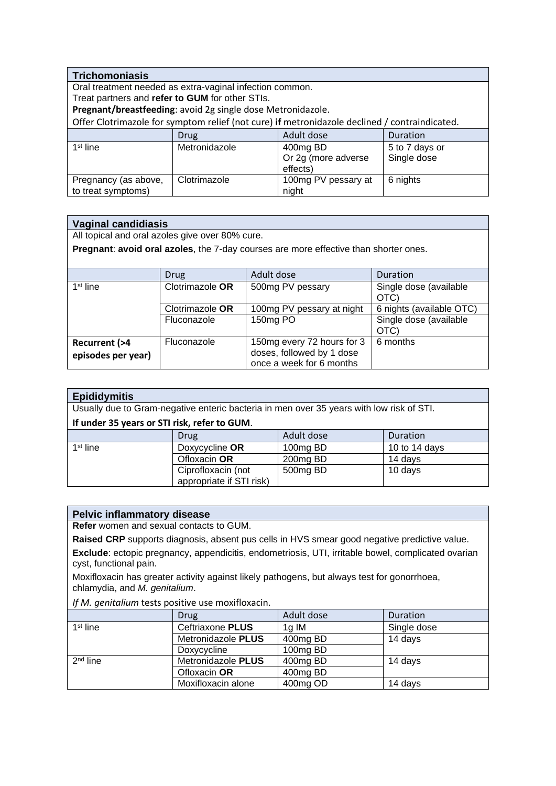#### <span id="page-23-0"></span>**Trichomoniasis**

Oral treatment needed as extra-vaginal infection common.

Treat partners and refer to GUM for other STIs.

**Pregnant/breastfeeding**: avoid 2g single dose Metronidazole.

Offer Clotrimazole for symptom relief (not cure) **if** metronidazole declined / contraindicated.

|                                            | Drug          | Adult dose                                  | Duration                      |
|--------------------------------------------|---------------|---------------------------------------------|-------------------------------|
| $1st$ line                                 | Metronidazole | 400mg BD<br>Or 2g (more adverse<br>effects) | 5 to 7 days or<br>Single dose |
| Pregnancy (as above,<br>to treat symptoms) | Clotrimazole  | 100mg PV pessary at<br>night                | 6 nights                      |

#### <span id="page-23-1"></span>**Vaginal candidiasis**

All topical and oral azoles give over 80% cure.

**Pregnant**: **avoid oral azoles**, the 7-day courses are more effective than shorter ones.

|                         | Drug            | Adult dose                 | Duration                       |
|-------------------------|-----------------|----------------------------|--------------------------------|
| $1st$ line              | Clotrimazole OR | 500mg PV pessary           | Single dose (available<br>OTC) |
|                         | Clotrimazole OR | 100mg PV pessary at night  | 6 nights (available OTC)       |
|                         | Fluconazole     | 150mg PO                   | Single dose (available<br>OTC) |
| <b>Recurrent (&gt;4</b> | Fluconazole     | 150mg every 72 hours for 3 | 6 months                       |
| episodes per year)      |                 | doses, followed by 1 dose  |                                |
|                         |                 | once a week for 6 months   |                                |

<span id="page-23-2"></span>

| <b>Epididymitis</b>                          |                          |                                                                                          |               |
|----------------------------------------------|--------------------------|------------------------------------------------------------------------------------------|---------------|
|                                              |                          | Usually due to Gram-negative enteric bacteria in men over 35 years with low risk of STI. |               |
| If under 35 years or STI risk, refer to GUM. |                          |                                                                                          |               |
|                                              | Drug                     | Adult dose                                                                               | Duration      |
| $1st$ line                                   | Doxycycline OR           | 100mg BD                                                                                 | 10 to 14 days |
|                                              | Ofloxacin OR             | 200mg BD                                                                                 | 14 days       |
|                                              | Ciprofloxacin (not       | 500mg BD                                                                                 | 10 days       |
|                                              | appropriate if STI risk) |                                                                                          |               |

#### <span id="page-23-3"></span>**Pelvic inflammatory disease**

**Refer** women and sexual contacts to GUM.

**Raised CRP** supports diagnosis, absent pus cells in HVS smear good negative predictive value.

**Exclude**: ectopic pregnancy, appendicitis, endometriosis, UTI, irritable bowel, complicated ovarian cyst, functional pain.

Moxifloxacin has greater activity against likely pathogens, but always test for gonorrhoea, chlamydia, and *M. genitalium*.

*If M. genitalium* tests positive use moxifloxacin.

|            | Drug               | Adult dose | Duration    |
|------------|--------------------|------------|-------------|
| $1st$ line | Ceftriaxone PLUS   | 1g IM      | Single dose |
|            | Metronidazole PLUS | 400mg BD   | 14 days     |
|            | Doxycycline        | 100mg BD   |             |
| $2nd$ line | Metronidazole PLUS | 400mg BD   | 14 days     |
|            | Ofloxacin OR       | 400mg BD   |             |
|            | Moxifloxacin alone | 400mg OD   | 14 days     |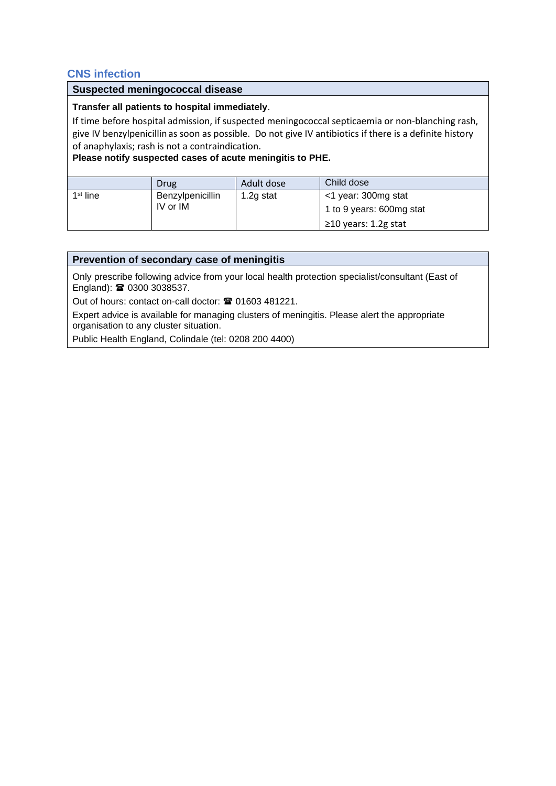# <span id="page-24-0"></span>**CNS infection**

#### <span id="page-24-1"></span>**Suspected meningococcal disease**

#### **Transfer all patients to hospital immediately**.

If time before hospital admission, if suspected meningococcal septicaemia or non-blanching rash, give IV benzylpenicillin as soon as possible. Do not give IV antibiotics if there is a definite history of anaphylaxis; rash is not a contraindication.

**Please notify suspected cases of acute meningitis to PHE.**

|                      | Drug             | Adult dose | Child dose               |
|----------------------|------------------|------------|--------------------------|
| 1 <sup>st</sup> line | Benzylpenicillin | 1.2g stat  | <1 year: 300mg stat      |
|                      | IV or IM         |            | 1 to 9 years: 600mg stat |
|                      |                  |            | ≥10 years: 1.2g stat     |

#### <span id="page-24-2"></span>**Prevention of secondary case of meningitis**

Only prescribe following advice from your local health protection specialist/consultant (East of  $England):$   $\circledR$  0300 3038537.

Out of hours: contact on-call doctor: <sup>2</sup>01603 481221.

Expert advice is available for managing clusters of meningitis. Please alert the appropriate organisation to any cluster situation.

Public Health England, Colindale (tel: 0208 200 4400)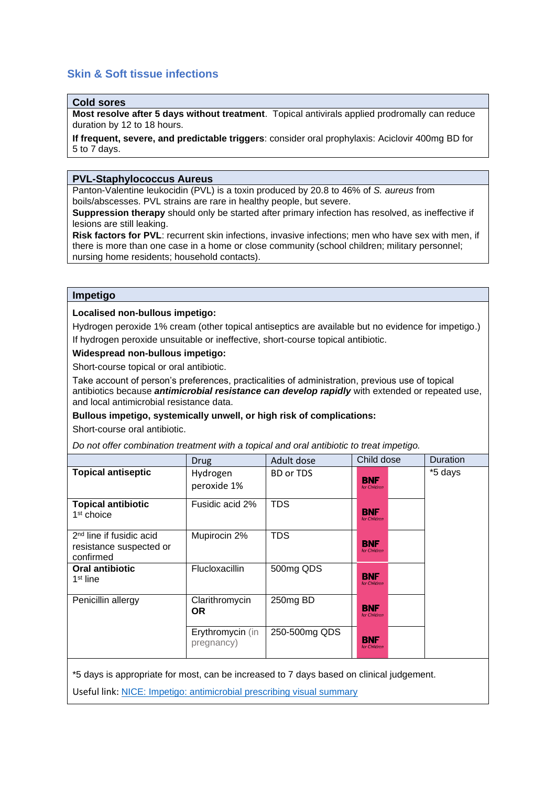# <span id="page-25-0"></span>**Skin & Soft tissue infections**

#### <span id="page-25-1"></span>**Cold sores**

**Most resolve after 5 days without treatment**. Topical antivirals applied prodromally can reduce duration by 12 to 18 hours.

**If frequent, severe, and predictable triggers**: consider oral prophylaxis: Aciclovir 400mg BD for 5 to 7 days.

#### <span id="page-25-2"></span>**PVL-Staphylococcus Aureus**

Panton-Valentine leukocidin (PVL) is a toxin produced by 20.8 to 46% of *S. aureus* from boils/abscesses. PVL strains are rare in healthy people, but severe.

**Suppression therapy** should only be started after primary infection has resolved, as ineffective if lesions are still leaking.

**Risk factors for PVL**: recurrent skin infections, invasive infections; men who have sex with men, if there is more than one case in a home or close community (school children; military personnel; nursing home residents; household contacts).

#### <span id="page-25-3"></span>**Impetigo**

#### **Localised non-bullous impetigo:**

Hydrogen peroxide 1% cream (other topical antiseptics are available but no evidence for impetigo.) If hydrogen peroxide unsuitable or ineffective, short-course topical antibiotic.

#### **Widespread non-bullous impetigo:**

Short-course topical or oral antibiotic.

Take account of person's preferences, practicalities of administration, previous use of topical antibiotics because *antimicrobial resistance can develop rapidly* with extended or repeated use, and local antimicrobial resistance data.

#### **Bullous impetigo, systemically unwell, or high risk of complications:**

Short-course oral antibiotic.

*Do not offer combination treatment with a topical and oral antibiotic to treat impetigo.*

|                                                                              | <b>Drug</b>                    | Adult dose       | Child dose                 | <b>Duration</b> |
|------------------------------------------------------------------------------|--------------------------------|------------------|----------------------------|-----------------|
| <b>Topical antiseptic</b>                                                    | Hydrogen<br>peroxide 1%        | <b>BD or TDS</b> | <b>BNF</b><br>for Children | *5 days         |
| <b>Topical antibiotic</b><br>1 <sup>st</sup> choice                          | Fusidic acid 2%                | TDS              | <b>BNF</b><br>for Children |                 |
| 2 <sup>nd</sup> line if fusidic acid<br>resistance suspected or<br>confirmed | Mupirocin 2%                   | <b>TDS</b>       | <b>BNF</b><br>for Children |                 |
| Oral antibiotic<br>$1st$ line                                                | <b>Flucloxacillin</b>          | 500mg QDS        | <b>BNF</b><br>for Children |                 |
| Penicillin allergy                                                           | Clarithromycin<br>OR.          | 250mg BD         | <b>BNF</b><br>for Children |                 |
|                                                                              | Erythromycin (in<br>pregnancy) | 250-500mg QDS    | <b>BNF</b><br>for Children |                 |

\*5 days is appropriate for most, can be increased to 7 days based on clinical judgement.

Useful link: [NICE: Impetigo: antimicrobial prescribing visual summary](https://www.nice.org.uk/guidance/ng153/resources/visual-summary-pdf-7084853533)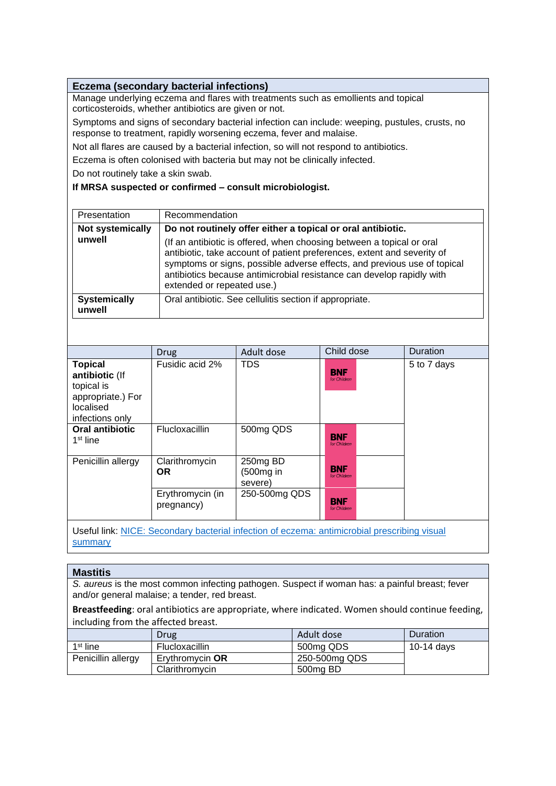#### <span id="page-26-0"></span>**Eczema (secondary bacterial infections)**

Manage underlying eczema and flares with treatments such as emollients and topical corticosteroids, whether antibiotics are given or not.

Symptoms and signs of secondary bacterial infection can include: weeping, pustules, crusts, no response to treatment, rapidly worsening eczema, fever and malaise.

Not all flares are caused by a bacterial infection, so will not respond to antibiotics.

Eczema is often colonised with bacteria but may not be clinically infected.

Do not routinely take a skin swab.

#### **If MRSA suspected or confirmed – consult microbiologist.**

| Presentation                  | Recommendation                                                                                                                                                                                                                                                                                                                                                                                     |
|-------------------------------|----------------------------------------------------------------------------------------------------------------------------------------------------------------------------------------------------------------------------------------------------------------------------------------------------------------------------------------------------------------------------------------------------|
| Not systemically<br>unwell    | Do not routinely offer either a topical or oral antibiotic.<br>(If an antibiotic is offered, when choosing between a topical or oral<br>antibiotic, take account of patient preferences, extent and severity of<br>symptoms or signs, possible adverse effects, and previous use of topical<br>antibiotics because antimicrobial resistance can develop rapidly with<br>extended or repeated use.) |
| <b>Systemically</b><br>unwell | Oral antibiotic. See cellulitis section if appropriate.                                                                                                                                                                                                                                                                                                                                            |

|                                                                                                     | <b>Drug</b>                    | Adult dose                       | Child dose                 | Duration    |
|-----------------------------------------------------------------------------------------------------|--------------------------------|----------------------------------|----------------------------|-------------|
| <b>Topical</b><br>antibiotic (If<br>topical is<br>appropriate.) For<br>localised<br>infections only | Fusidic acid 2%                | <b>TDS</b>                       | <b>BNF</b><br>for Children | 5 to 7 days |
| Oral antibiotic<br>$1st$ line                                                                       | <b>Flucloxacillin</b>          | 500mg QDS                        | <b>BNF</b><br>for Children |             |
| Penicillin allergy                                                                                  | Clarithromycin<br><b>OR</b>    | 250mg BD<br>(500mg in<br>severe) | <b>BNF</b><br>for Children |             |
|                                                                                                     | Erythromycin (in<br>pregnancy) | 250-500mg QDS                    | <b>BNF</b><br>for Children |             |

Useful link: [NICE: Secondary bacterial infection of eczema: antimicrobial prescribing visual](https://www.nice.org.uk/guidance/ng190/resources/visual-summary-pdf-9018190045)  [summary](https://www.nice.org.uk/guidance/ng190/resources/visual-summary-pdf-9018190045)

#### <span id="page-26-1"></span>**Mastitis**

*S. aureus* is the most common infecting pathogen. Suspect if woman has: a painful breast; fever and/or general malaise; a tender, red breast.

**Breastfeeding**: oral antibiotics are appropriate, where indicated. Women should continue feeding, including from the affected breast.

|                      | Drug                   | Adult dose    | <b>Duration</b> |
|----------------------|------------------------|---------------|-----------------|
| 1 <sup>st</sup> line | <b>Flucloxacillin</b>  | 500mg QDS     | 10-14 days      |
| Penicillin allergy   | Ervthromvcin <b>OR</b> | 250-500mg QDS |                 |
|                      | Clarithromycin         | 500mg BD      |                 |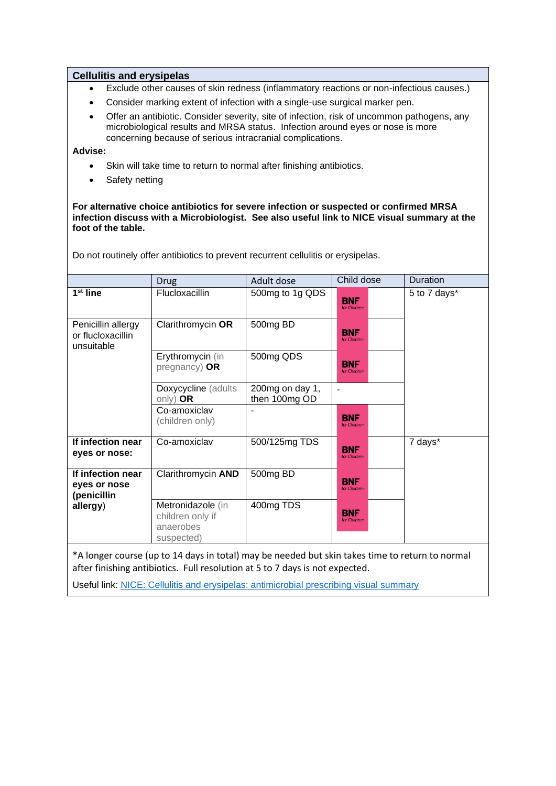#### <span id="page-27-0"></span>**Cellulitis and erysipelas**

- Exclude other causes of skin redness (inflammatory reactions or non-infectious causes.)
- Consider marking extent of infection with a single-use surgical marker pen.
- Offer an antibiotic. Consider severity, site of infection, risk of uncommon pathogens, any microbiological results and MRSA status. Infection around eyes or nose is more concerning because of serious intracranial complications.

**Advise:** 

- Skin will take time to return to normal after finishing antibiotics.
- Safety netting

**For alternative choice antibiotics for severe infection or suspected or confirmed MRSA infection discuss with a Microbiologist. See also useful link to NICE visual summary at the foot of the table.**

Do not routinely offer antibiotics to prevent recurrent cellulitis or erysipelas.

|                                                       | Drug                                                             | Adult dose                       | Child dose                 | Duration     |
|-------------------------------------------------------|------------------------------------------------------------------|----------------------------------|----------------------------|--------------|
| 1 <sup>st</sup> line                                  | Flucloxacillin                                                   | 500mg to 1g QDS                  | <b>BNF</b><br>for Children | 5 to 7 days* |
| Penicillin allergy<br>or flucloxacillin<br>unsuitable | Clarithromycin OR                                                | 500mg BD                         | <b>BNF</b><br>for Children |              |
|                                                       | Erythromycin (in<br>pregnancy) OR                                | 500mg QDS                        | <b>BNF</b><br>for Children |              |
|                                                       | Doxycycline (adults)<br>only) $OR$                               | 200mg on day 1,<br>then 100mg OD |                            |              |
|                                                       | Co-amoxiclav<br>(children only)                                  |                                  | <b>BNF</b><br>for Children |              |
| If infection near<br>eyes or nose:                    | Co-amoxiclav                                                     | 500/125mg TDS                    | <b>BNF</b><br>for Children | 7 days*      |
| If infection near<br>eyes or nose<br>(penicillin      | Clarithromycin AND                                               | 500mg BD                         | <b>BNF</b><br>for Children |              |
| allergy)                                              | Metronidazole (in<br>children only if<br>anaerobes<br>suspected) | 400mg TDS                        | <b>BNF</b><br>for Children |              |

\*A longer course (up to 14 days in total) may be needed but skin takes time to return to normal after finishing antibiotics. Full resolution at 5 to 7 days is not expected.

Useful link: [NICE: Cellulitis and erysipelas: antimicrobial prescribing visual summary](https://www.nice.org.uk/guidance/ng141/resources/visual-summary-pdf-6908401837)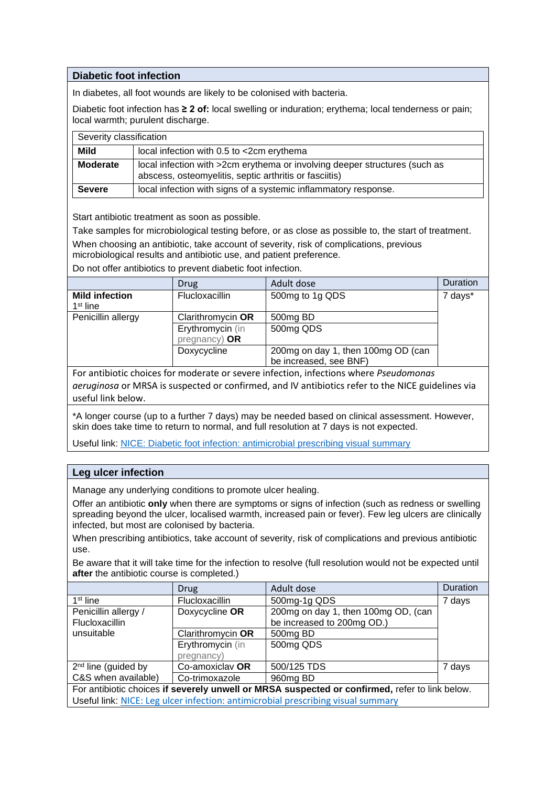#### <span id="page-28-0"></span>**Diabetic foot infection**

In diabetes, all foot wounds are likely to be colonised with bacteria.

Diabetic foot infection has **≥ 2 of:** local swelling or induration; erythema; local tenderness or pain; local warmth; purulent discharge.

| Severity classification |                                                                                                                                      |
|-------------------------|--------------------------------------------------------------------------------------------------------------------------------------|
| Mild                    | local infection with 0.5 to <2cm erythema                                                                                            |
| Moderate                | local infection with >2cm erythema or involving deeper structures (such as<br>abscess, osteomyelitis, septic arthritis or fasciitis) |
| <b>Severe</b>           | local infection with signs of a systemic inflammatory response.                                                                      |

Start antibiotic treatment as soon as possible.

Take samples for microbiological testing before, or as close as possible to, the start of treatment. When choosing an antibiotic, take account of severity, risk of complications, previous

microbiological results and antibiotic use, and patient preference.

Do not offer antibiotics to prevent diabetic foot infection.

|                                               | <b>Drug</b>           | Adult dose                                                   | Duration |
|-----------------------------------------------|-----------------------|--------------------------------------------------------------|----------|
| <b>Mild infection</b><br>1 <sup>st</sup> line | <b>Flucloxacillin</b> | 500mg to 1g QDS                                              | 7 days*  |
| Penicillin allergy                            | Clarithromycin OR     | 500mg BD                                                     |          |
|                                               | Erythromycin (in      | 500mg QDS                                                    |          |
|                                               | pregnancy) $OR$       |                                                              |          |
|                                               | Doxycycline           | 200mg on day 1, then 100mg OD (can<br>be increased, see BNF) |          |

For antibiotic choices for moderate or severe infection, infections where *Pseudomonas aeruginosa* or MRSA is suspected or confirmed, and IV antibiotics refer to the NICE guidelines via useful link below.

\*A longer course (up to a further 7 days) may be needed based on clinical assessment. However, skin does take time to return to normal, and full resolution at 7 days is not expected.

Useful link: [NICE: Diabetic foot infection: antimicrobial prescribing visual summary](https://www.nice.org.uk/guidance/ng19/resources/visual-summary-pdf-6954030109)

#### <span id="page-28-1"></span>**Leg ulcer infection**

Manage any underlying conditions to promote ulcer healing.

Offer an antibiotic **only** when there are symptoms or signs of infection (such as redness or swelling spreading beyond the ulcer, localised warmth, increased pain or fever). Few leg ulcers are clinically infected, but most are colonised by bacteria.

When prescribing antibiotics, take account of severity, risk of complications and previous antibiotic use.

Be aware that it will take time for the infection to resolve (full resolution would not be expected until **after** the antibiotic course is completed.)

|                                                                                                | <b>Drug</b>       | Adult dose                                                                       | Duration |  |
|------------------------------------------------------------------------------------------------|-------------------|----------------------------------------------------------------------------------|----------|--|
| $1st$ line                                                                                     | Flucloxacillin    | 500mg-1g QDS                                                                     | 7 days   |  |
| Penicillin allergy /                                                                           | Doxycycline OR    | 200mg on day 1, then 100mg OD, (can                                              |          |  |
| <b>Flucloxacillin</b>                                                                          |                   | be increased to 200mg OD.)                                                       |          |  |
| unsuitable                                                                                     | Clarithromycin OR | 500mg BD                                                                         |          |  |
|                                                                                                | Erythromycin (in  | 500mg QDS                                                                        |          |  |
|                                                                                                | pregnancy)        |                                                                                  |          |  |
| 2 <sup>nd</sup> line (guided by                                                                | Co-amoxiclay OR   | 500/125 TDS                                                                      | 7 days   |  |
| C&S when available)                                                                            | Co-trimoxazole    | 960mg BD                                                                         |          |  |
| For antibiotic choices if severely unwell or MRSA suspected or confirmed, refer to link below. |                   |                                                                                  |          |  |
|                                                                                                |                   | Useful link: NICE: Leg ulcer infection: antimicrobial prescribing visual summary |          |  |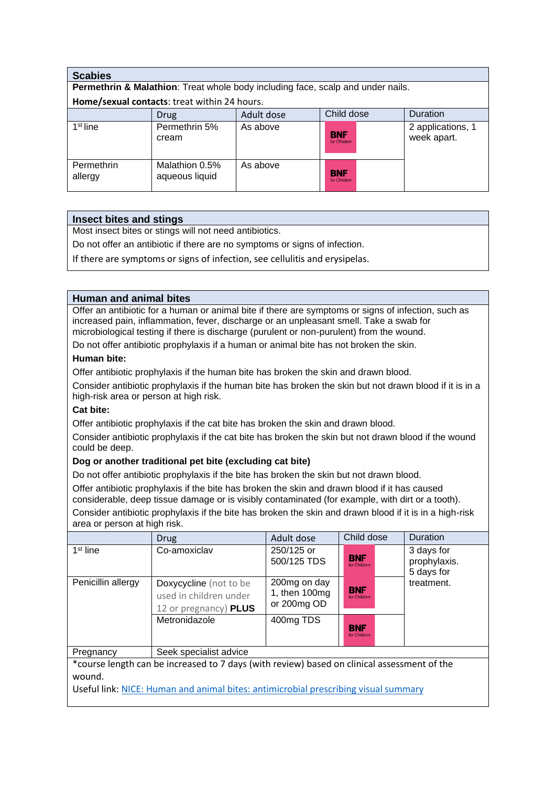#### <span id="page-29-0"></span>**Scabies**

**Permethrin & Malathion**: Treat whole body including face, scalp and under nails.

**Home/sexual contacts**: treat within 24 hours.

|                       | Drug                             | Adult dose | Child dose                 | <b>Duration</b>                  |
|-----------------------|----------------------------------|------------|----------------------------|----------------------------------|
| $1st$ line            | Permethrin 5%<br>cream           | As above   | <b>BNF</b><br>for Children | 2 applications, 1<br>week apart. |
| Permethrin<br>allergy | Malathion 0.5%<br>aqueous liquid | As above   | <b>BNF</b><br>for Children |                                  |

#### <span id="page-29-1"></span>**Insect bites and stings**

Most insect bites or stings will not need antibiotics.

Do not offer an antibiotic if there are no symptoms or signs of infection.

If there are symptoms or signs of infection, see cellulitis and erysipelas.

#### <span id="page-29-2"></span>**Human and animal bites**

Offer an antibiotic for a human or animal bite if there are symptoms or signs of infection, such as increased pain, inflammation, fever, discharge or an unpleasant smell. Take a swab for microbiological testing if there is discharge (purulent or non-purulent) from the wound.

Do not offer antibiotic prophylaxis if a human or animal bite has not broken the skin.

#### **Human bite:**

Offer antibiotic prophylaxis if the human bite has broken the skin and drawn blood.

Consider antibiotic prophylaxis if the human bite has broken the skin but not drawn blood if it is in a high-risk area or person at high risk.

#### **Cat bite:**

Offer antibiotic prophylaxis if the cat bite has broken the skin and drawn blood.

Consider antibiotic prophylaxis if the cat bite has broken the skin but not drawn blood if the wound could be deep.

#### **Dog or another traditional pet bite (excluding cat bite)**

Do not offer antibiotic prophylaxis if the bite has broken the skin but not drawn blood.

Offer antibiotic prophylaxis if the bite has broken the skin and drawn blood if it has caused considerable, deep tissue damage or is visibly contaminated (for example, with dirt or a tooth). Consider antibiotic prophylaxis if the bite has broken the skin and drawn blood if it is in a high-risk area or person at high risk.

|                                                                                             | <b>Drug</b>                                                               | Adult dose                                    | Child dose                 |  | Duration                                 |
|---------------------------------------------------------------------------------------------|---------------------------------------------------------------------------|-----------------------------------------------|----------------------------|--|------------------------------------------|
| $1st$ line                                                                                  | Co-amoxiclav                                                              | 250/125 or<br>500/125 TDS                     | <b>BNF</b><br>for Children |  | 3 days for<br>prophylaxis.<br>5 days for |
| Penicillin allergy                                                                          | Doxycycline (not to be<br>used in children under<br>12 or pregnancy) PLUS | 200 mg on day<br>1, then 100mg<br>or 200mg OD | <b>BNF</b><br>for Children |  | treatment.                               |
|                                                                                             | Metronidazole                                                             | 400mg TDS                                     | <b>BNF</b><br>for Children |  |                                          |
| Seek specialist advice<br>Pregnancy                                                         |                                                                           |                                               |                            |  |                                          |
| *course length can be increased to 7 days (with review) based on clinical assessment of the |                                                                           |                                               |                            |  |                                          |

wound.

Useful link: [NICE: Human and animal bites: antimicrobial prescribing visual summary](https://www.nice.org.uk/guidance/ng184/resources/visual-summary-pdf-8897023117)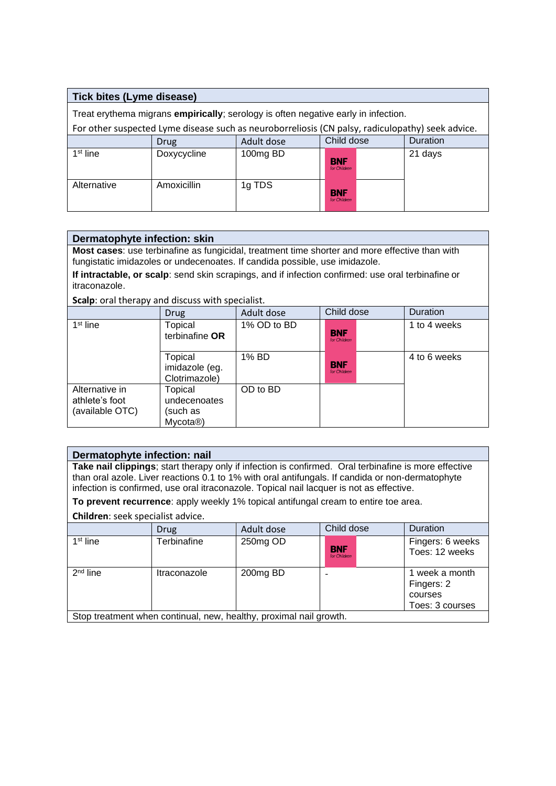<span id="page-30-0"></span>

| Tick bites (Lyme disease)                                                          |                                                                                                  |            |                            |  |          |
|------------------------------------------------------------------------------------|--------------------------------------------------------------------------------------------------|------------|----------------------------|--|----------|
| Treat erythema migrans empirically; serology is often negative early in infection. |                                                                                                  |            |                            |  |          |
|                                                                                    | For other suspected Lyme disease such as neuroborreliosis (CN palsy, radiculopathy) seek advice. |            |                            |  |          |
|                                                                                    | Drug                                                                                             | Adult dose | Child dose                 |  | Duration |
| $1st$ line                                                                         | Doxycycline                                                                                      | 100mg BD   | <b>BNF</b><br>for Children |  | 21 days  |
| Alternative                                                                        | Amoxicillin                                                                                      | 1g TDS     | <b>BNF</b><br>for Children |  |          |

#### <span id="page-30-1"></span>**Dermatophyte infection: skin**

**Most cases**: use terbinafine as fungicidal, treatment time shorter and more effective than with fungistatic imidazoles or undecenoates. If candida possible, use imidazole.

**If intractable, or scalp**: send skin scrapings, and if infection confirmed: use oral terbinafine or itraconazole.

**Scalp**: oral therapy and discuss with specialist.

|                                                     | Drug                                                        | Adult dose  | Child dose                 | Duration     |
|-----------------------------------------------------|-------------------------------------------------------------|-------------|----------------------------|--------------|
| $1st$ line                                          | Topical<br>terbinafine OR                                   | 1% OD to BD | <b>BNF</b><br>for Children | 1 to 4 weeks |
|                                                     | Topical<br>imidazole (eg.<br>Clotrimazole)                  | 1% BD       | <b>BNF</b><br>for Children | 4 to 6 weeks |
| Alternative in<br>athlete's foot<br>(available OTC) | Topical<br>undecenoates<br>such as<br>Mycota <sup>®</sup> ) | OD to BD    |                            |              |

#### <span id="page-30-2"></span>**Dermatophyte infection: nail**

**Take nail clippings**; start therapy only if infection is confirmed. Oral terbinafine is more effective than oral azole. Liver reactions 0.1 to 1% with oral antifungals. If candida or non-dermatophyte infection is confirmed, use oral itraconazole. Topical nail lacquer is not as effective.

**To prevent recurrence**: apply weekly 1% topical antifungal cream to entire toe area.

**Children**: seek specialist advice.

|            | Drug                                                               | Adult dose | Child dose                 | <b>Duration</b>                                            |
|------------|--------------------------------------------------------------------|------------|----------------------------|------------------------------------------------------------|
| $1st$ line | Terbinafine                                                        | 250mg OD   | <b>BNF</b><br>for Children | Fingers: 6 weeks<br>Toes: 12 weeks                         |
| $2nd$ line | Itraconazole                                                       | 200mg BD   |                            | 1 week a month<br>Fingers: 2<br>courses<br>Toes: 3 courses |
|            | Stop treatment when continual, new, healthy, proximal nail growth. |            |                            |                                                            |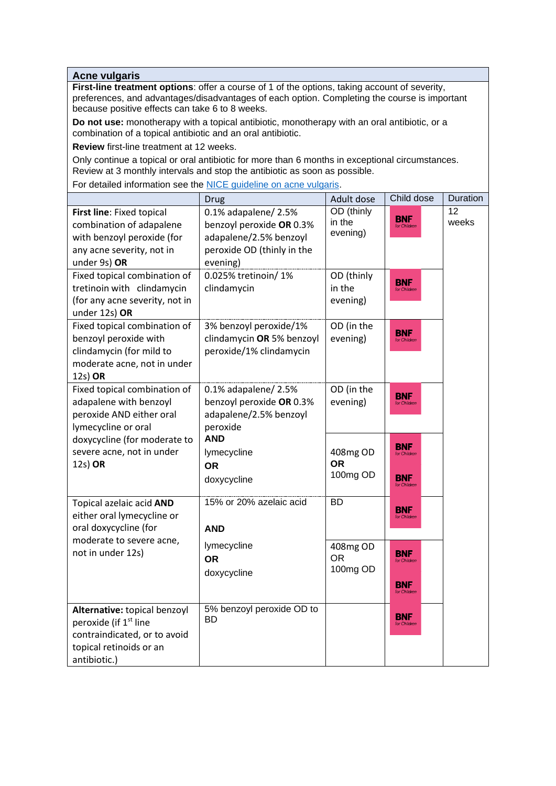#### <span id="page-31-0"></span>**Acne vulgaris**

**First-line treatment options**: offer a course of 1 of the options, taking account of severity, preferences, and advantages/disadvantages of each option. Completing the course is important because positive effects can take 6 to 8 weeks.

**Do not use:** monotherapy with a topical antibiotic, monotherapy with an oral antibiotic, or a combination of a topical antibiotic and an oral antibiotic.

**Review** first-line treatment at 12 weeks.

Only continue a topical or oral antibiotic for more than 6 months in exceptional circumstances. Review at 3 monthly intervals and stop the antibiotic as soon as possible.

For detailed information see the [NICE guideline on acne vulgaris.](https://www.nice.org.uk/guidance/ng198)

|                                                                                                                                                                  | <b>Drug</b>                                                                                                                                  | Adult dose                                     | Child dose                                               | Duration                 |
|------------------------------------------------------------------------------------------------------------------------------------------------------------------|----------------------------------------------------------------------------------------------------------------------------------------------|------------------------------------------------|----------------------------------------------------------|--------------------------|
| First line: Fixed topical<br>combination of adapalene<br>with benzoyl peroxide (for<br>any acne severity, not in<br>under 9s) OR<br>Fixed topical combination of | 0.1% adapalene/ 2.5%<br>benzoyl peroxide OR 0.3%<br>adapalene/2.5% benzoyl<br>peroxide OD (thinly in the<br>evening)<br>0.025% tretinoin/ 1% | OD (thinly<br>in the<br>evening)<br>OD (thinly | <b>BNF</b><br>for Childrer                               | $\overline{12}$<br>weeks |
| tretinoin with clindamycin<br>(for any acne severity, not in<br>under 12s) OR                                                                                    | clindamycin                                                                                                                                  | in the<br>evening)                             | <b>BNF</b><br>for Children                               |                          |
| Fixed topical combination of<br>benzoyl peroxide with<br>clindamycin (for mild to<br>moderate acne, not in under<br>12s) OR                                      | 3% benzoyl peroxide/1%<br>clindamycin OR 5% benzoyl<br>peroxide/1% clindamycin                                                               | OD (in the<br>evening)                         | <b>BNF</b><br>for Children                               |                          |
| Fixed topical combination of<br>adapalene with benzoyl<br>peroxide AND either oral<br>lymecycline or oral                                                        | 0.1% adapalene/ 2.5%<br>benzoyl peroxide OR 0.3%<br>adapalene/2.5% benzoyl<br>peroxide                                                       | OD (in the<br>evening)                         | <b>BNF</b><br>for Children                               |                          |
| doxycycline (for moderate to<br>severe acne, not in under<br>12s) OR                                                                                             | <b>AND</b><br>lymecycline<br><b>OR</b><br>doxycycline                                                                                        | 408mg OD<br><b>OR</b><br>100mg OD              | <b>BNF</b><br>for Children<br><b>BNF</b><br>for Childrei |                          |
| Topical azelaic acid AND<br>either oral lymecycline or<br>oral doxycycline (for<br>moderate to severe acne,                                                      | 15% or 20% azelaic acid<br><b>AND</b>                                                                                                        | <b>BD</b>                                      | <b>BNF</b><br>for Children                               |                          |
| not in under 12s)                                                                                                                                                | lymecycline<br><b>OR</b><br>doxycycline                                                                                                      | 408mg OD<br>0R<br>100mg OD                     | <b>BNF</b><br>for Children<br><b>BNF</b><br>for Children |                          |
| Alternative: topical benzoyl<br>peroxide (if 1 <sup>st</sup> line<br>contraindicated, or to avoid<br>topical retinoids or an<br>antibiotic.)                     | 5% benzoyl peroxide OD to<br><b>BD</b>                                                                                                       |                                                | <b>BNF</b><br>for Children                               |                          |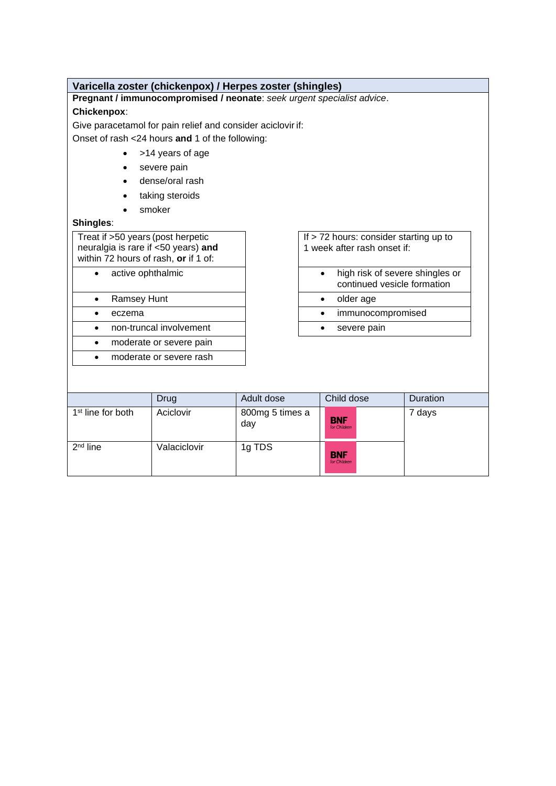<span id="page-32-0"></span>

| Varicella zoster (chickenpox) / Herpes zoster (shingles)                                                                                                                                    |                                                             |                        |                                                                             |          |  |
|---------------------------------------------------------------------------------------------------------------------------------------------------------------------------------------------|-------------------------------------------------------------|------------------------|-----------------------------------------------------------------------------|----------|--|
| Pregnant / immunocompromised / neonate: seek urgent specialist advice.                                                                                                                      |                                                             |                        |                                                                             |          |  |
| <b>Chickenpox:</b>                                                                                                                                                                          |                                                             |                        |                                                                             |          |  |
|                                                                                                                                                                                             | Give paracetamol for pain relief and consider aciclovir if: |                        |                                                                             |          |  |
|                                                                                                                                                                                             | Onset of rash <24 hours and 1 of the following:             |                        |                                                                             |          |  |
| $\bullet$                                                                                                                                                                                   | >14 years of age                                            |                        |                                                                             |          |  |
|                                                                                                                                                                                             | severe pain                                                 |                        |                                                                             |          |  |
|                                                                                                                                                                                             | dense/oral rash                                             |                        |                                                                             |          |  |
|                                                                                                                                                                                             | taking steroids                                             |                        |                                                                             |          |  |
|                                                                                                                                                                                             | smoker                                                      |                        |                                                                             |          |  |
| Shingles:                                                                                                                                                                                   |                                                             |                        |                                                                             |          |  |
| Treat if >50 years (post herpetic<br>If $>$ 72 hours: consider starting up to<br>1 week after rash onset if:<br>neuralgia is rare if <50 years) and<br>within 72 hours of rash, or if 1 of: |                                                             |                        |                                                                             |          |  |
| active ophthalmic<br>$\bullet$                                                                                                                                                              |                                                             |                        | high risk of severe shingles or<br>$\bullet$<br>continued vesicle formation |          |  |
| Ramsey Hunt<br>$\bullet$                                                                                                                                                                    |                                                             |                        | older age<br>$\bullet$                                                      |          |  |
| eczema<br>$\bullet$                                                                                                                                                                         |                                                             |                        | immunocompromised<br>$\bullet$                                              |          |  |
| non-truncal involvement<br>$\bullet$                                                                                                                                                        |                                                             |                        | severe pain<br>$\bullet$                                                    |          |  |
| $\bullet$                                                                                                                                                                                   | moderate or severe pain                                     |                        |                                                                             |          |  |
| moderate or severe rash<br>$\bullet$                                                                                                                                                        |                                                             |                        |                                                                             |          |  |
|                                                                                                                                                                                             |                                                             |                        |                                                                             |          |  |
|                                                                                                                                                                                             | Drug                                                        | Adult dose             | Child dose                                                                  | Duration |  |
| 1 <sup>st</sup> line for both                                                                                                                                                               | Aciclovir                                                   | 800mg 5 times a<br>day | <b>BNF</b><br>for Children                                                  | 7 days   |  |
| $2nd$ line                                                                                                                                                                                  | Valaciclovir                                                | 1g TDS                 | BNF<br>for Children                                                         |          |  |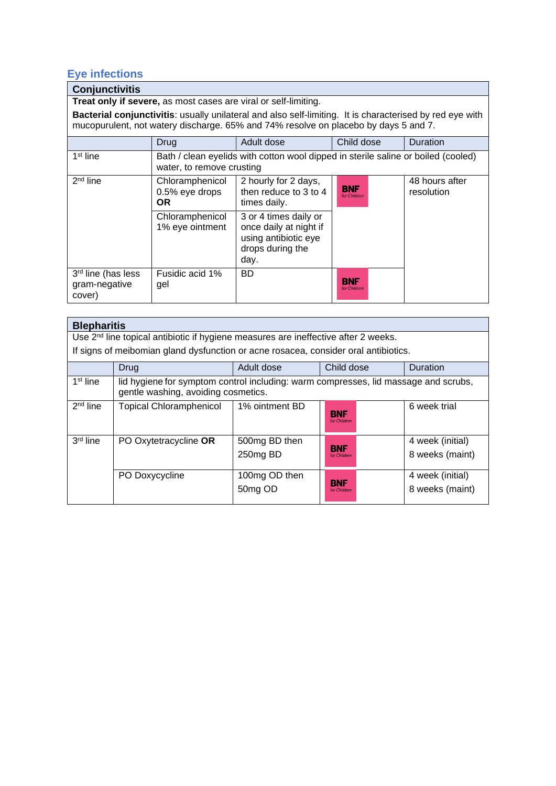# <span id="page-33-0"></span>**Eye infections**

<span id="page-33-1"></span>**Conjunctivitis Treat only if severe,** as most cases are viral or self-limiting.

**Bacterial conjunctivitis**: usually unilateral and also self-limiting. It is characterised by red eye with mucopurulent, not watery discharge. 65% and 74% resolve on placebo by days 5 and 7.

|                                               | <b>Drug</b>                                                                                                    | Adult dose                                                                                          | Child dose                 | Duration                     |
|-----------------------------------------------|----------------------------------------------------------------------------------------------------------------|-----------------------------------------------------------------------------------------------------|----------------------------|------------------------------|
| $1st$ line                                    | Bath / clean eyelids with cotton wool dipped in sterile saline or boiled (cooled)<br>water, to remove crusting |                                                                                                     |                            |                              |
| $2nd$ line                                    | Chloramphenicol<br>0.5% eye drops<br><b>OR</b>                                                                 | 2 hourly for 2 days,<br>then reduce to 3 to 4<br>times daily.                                       | <b>BNF</b><br>for Children | 48 hours after<br>resolution |
|                                               | Chloramphenicol<br>1% eye ointment                                                                             | 3 or 4 times daily or<br>once daily at night if<br>using antibiotic eye<br>drops during the<br>day. |                            |                              |
| 3rd line (has less<br>gram-negative<br>cover) | Fusidic acid 1%<br>gel                                                                                         | <b>BD</b>                                                                                           | <b>BNF</b><br>for Children |                              |

<span id="page-33-2"></span>

| <b>Blepharitis</b> |                                                                                                                            |                |                            |                  |  |  |
|--------------------|----------------------------------------------------------------------------------------------------------------------------|----------------|----------------------------|------------------|--|--|
|                    | Use 2 <sup>nd</sup> line topical antibiotic if hygiene measures are ineffective after 2 weeks.                             |                |                            |                  |  |  |
|                    | If signs of meibomian gland dysfunction or acne rosacea, consider oral antibiotics.                                        |                |                            |                  |  |  |
|                    | Drug                                                                                                                       | Adult dose     | Child dose                 | Duration         |  |  |
| $1st$ line         | lid hygiene for symptom control including: warm compresses, lid massage and scrubs,<br>gentle washing, avoiding cosmetics. |                |                            |                  |  |  |
| $2nd$ line         | <b>Topical Chloramphenicol</b>                                                                                             | 1% ointment BD | <b>BNF</b><br>for Children | 6 week trial     |  |  |
| 3rd line           | PO Oxytetracycline OR                                                                                                      | 500mg BD then  | <b>BNF</b>                 | 4 week (initial) |  |  |
|                    |                                                                                                                            | 250mg BD       | for Children               | 8 weeks (maint)  |  |  |
|                    | PO Doxycycline                                                                                                             | 100mg OD then  | <b>BNF</b>                 | 4 week (initial) |  |  |
|                    |                                                                                                                            | 50mg OD        | for Children               | 8 weeks (maint)  |  |  |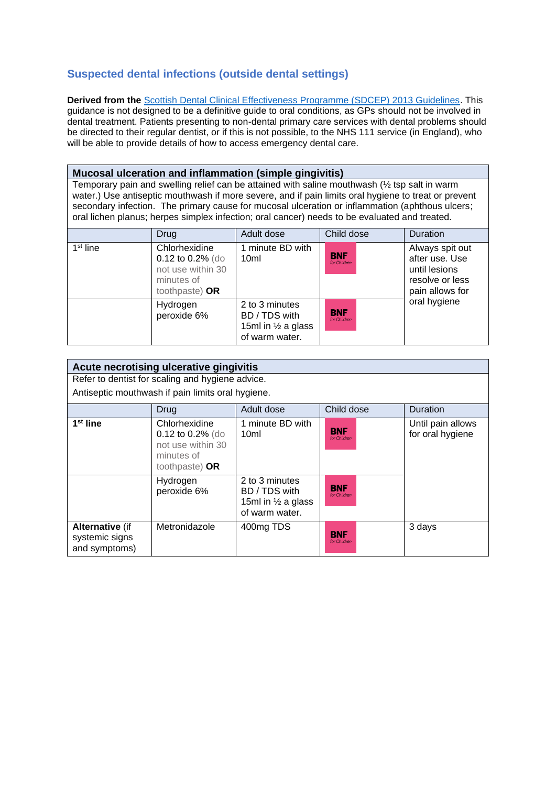# <span id="page-34-0"></span>**Suspected dental infections (outside dental settings)**

**Derived from the** [Scottish Dental Clinical Effectiveness Programme \(SDCEP\) 2013 Guidelines.](http://www.sdcep.org.uk/wp-content/uploads/2013/03/SDCEP+MADP+Guidance+March+2013.pdf) This guidance is not designed to be a definitive guide to oral conditions, as GPs should not be involved in dental treatment. Patients presenting to non-dental primary care services with dental problems should be directed to their regular dentist, or if this is not possible, to the NHS 111 service (in England), who will be able to provide details of how to access emergency dental care.

#### <span id="page-34-1"></span>**Mucosal ulceration and inflammation (simple gingivitis)**

Temporary pain and swelling relief can be attained with saline mouthwash (½ tsp salt in warm water.) Use antiseptic mouthwash if more severe, and if pain limits oral hygiene to treat or prevent secondary infection. The primary cause for mucosal ulceration or inflammation (aphthous ulcers; oral lichen planus; herpes simplex infection; oral cancer) needs to be evaluated and treated.

|            | Drug                                                                                        | Adult dose                                                                         | Child dose                 | Duration                                                                                                 |
|------------|---------------------------------------------------------------------------------------------|------------------------------------------------------------------------------------|----------------------------|----------------------------------------------------------------------------------------------------------|
| $1st$ line | Chlorhexidine<br>$0.12$ to $0.2\%$ (do<br>not use within 30<br>minutes of<br>toothpaste) OR | 1 minute BD with<br>10 <sub>m</sub>                                                | <b>BNF</b><br>for Children | Always spit out<br>after use. Use<br>until lesions<br>resolve or less<br>pain allows for<br>oral hygiene |
|            | Hydrogen<br>peroxide 6%                                                                     | 2 to 3 minutes<br>BD / TDS with<br>15ml in $\frac{1}{2}$ a glass<br>of warm water. | <b>BNF</b><br>for Children |                                                                                                          |

<span id="page-34-2"></span>

| Acute necrotising ulcerative gingivitis            |                                                                                             |                                                                                    |                            |                                       |  |
|----------------------------------------------------|---------------------------------------------------------------------------------------------|------------------------------------------------------------------------------------|----------------------------|---------------------------------------|--|
| Refer to dentist for scaling and hygiene advice.   |                                                                                             |                                                                                    |                            |                                       |  |
|                                                    | Antiseptic mouthwash if pain limits oral hygiene.                                           |                                                                                    |                            |                                       |  |
|                                                    | <b>Drug</b>                                                                                 | Adult dose                                                                         | Child dose                 | Duration                              |  |
| 1 <sup>st</sup> line                               | Chlorhexidine<br>$0.12$ to $0.2\%$ (do<br>not use within 30<br>minutes of<br>toothpaste) OR | 1 minute BD with<br>10 <sub>m</sub>                                                | <b>BNF</b><br>for Children | Until pain allows<br>for oral hygiene |  |
|                                                    | Hydrogen<br>peroxide 6%                                                                     | 2 to 3 minutes<br>BD / TDS with<br>15ml in $\frac{1}{2}$ a glass<br>of warm water. | <b>BNF</b><br>for Children |                                       |  |
| Alternative (if<br>systemic signs<br>and symptoms) | Metronidazole                                                                               | 400mg TDS                                                                          | <b>BNF</b><br>for Children | 3 days                                |  |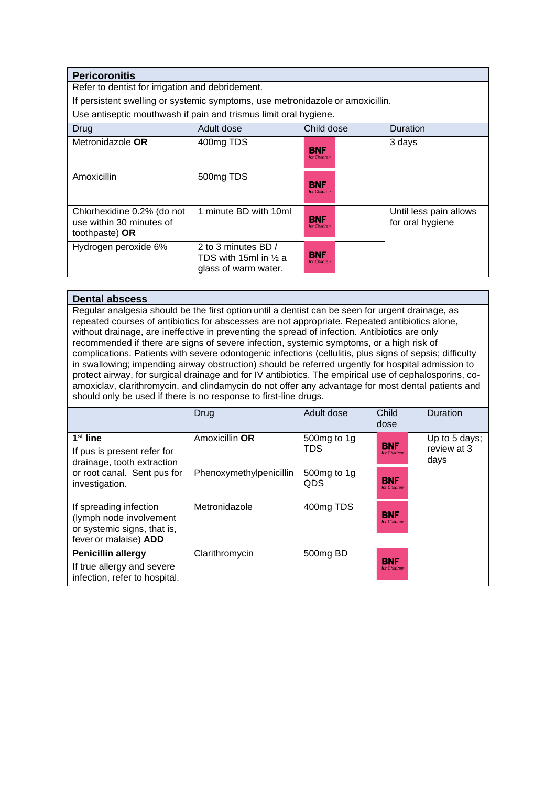<span id="page-35-0"></span>

| <b>Pericoronitis</b>                                                           |                                                                        |                            |                                            |  |  |  |
|--------------------------------------------------------------------------------|------------------------------------------------------------------------|----------------------------|--------------------------------------------|--|--|--|
|                                                                                | Refer to dentist for irrigation and debridement.                       |                            |                                            |  |  |  |
| If persistent swelling or systemic symptoms, use metronidazole or amoxicillin. |                                                                        |                            |                                            |  |  |  |
| Use antiseptic mouthwash if pain and trismus limit oral hygiene.               |                                                                        |                            |                                            |  |  |  |
| Drug                                                                           | Adult dose                                                             | Child dose                 | Duration                                   |  |  |  |
| Metronidazole OR                                                               | 400mg TDS                                                              | <b>BNF</b><br>for Children | 3 days                                     |  |  |  |
| Amoxicillin                                                                    | 500mg TDS                                                              | <b>BNF</b><br>for Children |                                            |  |  |  |
| Chlorhexidine 0.2% (do not<br>use within 30 minutes of<br>toothpaste) OR       | 1 minute BD with 10ml                                                  | <b>BNF</b><br>for Children | Until less pain allows<br>for oral hygiene |  |  |  |
| Hydrogen peroxide 6%                                                           | 2 to 3 minutes BD /<br>TDS with 15ml in $\%$ a<br>glass of warm water. | <b>BNF</b><br>for Children |                                            |  |  |  |

#### <span id="page-35-1"></span>**Dental abscess**

Regular analgesia should be the first option until a dentist can be seen for urgent drainage, as repeated courses of antibiotics for abscesses are not appropriate. Repeated antibiotics alone, without drainage, are ineffective in preventing the spread of infection. Antibiotics are only recommended if there are signs of severe infection, systemic symptoms, or a high risk of complications. Patients with severe odontogenic infections (cellulitis, plus signs of sepsis; difficulty in swallowing; impending airway obstruction) should be referred urgently for hospital admission to protect airway, for surgical drainage and for IV antibiotics. The empirical use of cephalosporins, coamoxiclav, clarithromycin, and clindamycin do not offer any advantage for most dental patients and should only be used if there is no response to first-line drugs.

|                                                                                                           | <b>Drug</b>             | Adult dose                   | Child<br>dose              | Duration                             |
|-----------------------------------------------------------------------------------------------------------|-------------------------|------------------------------|----------------------------|--------------------------------------|
| $1st$ line<br>If pus is present refer for<br>drainage, tooth extraction                                   | Amoxicillin OR          | 500mg to 1g<br><b>TDS</b>    | <b>BNF</b><br>for Children | Up to 5 days;<br>review at 3<br>days |
| or root canal. Sent pus for<br>investigation.                                                             | Phenoxymethylpenicillin | 500 $mg$ to 1g<br><b>QDS</b> | <b>BNF</b><br>for Children |                                      |
| If spreading infection<br>(lymph node involvement<br>or systemic signs, that is,<br>fever or malaise) ADD | Metronidazole           | 400mg TDS                    | <b>BNF</b><br>for Children |                                      |
| <b>Penicillin allergy</b><br>If true allergy and severe<br>infection, refer to hospital.                  | Clarithromycin          | 500mg BD                     | <b>BNF</b><br>for Children |                                      |